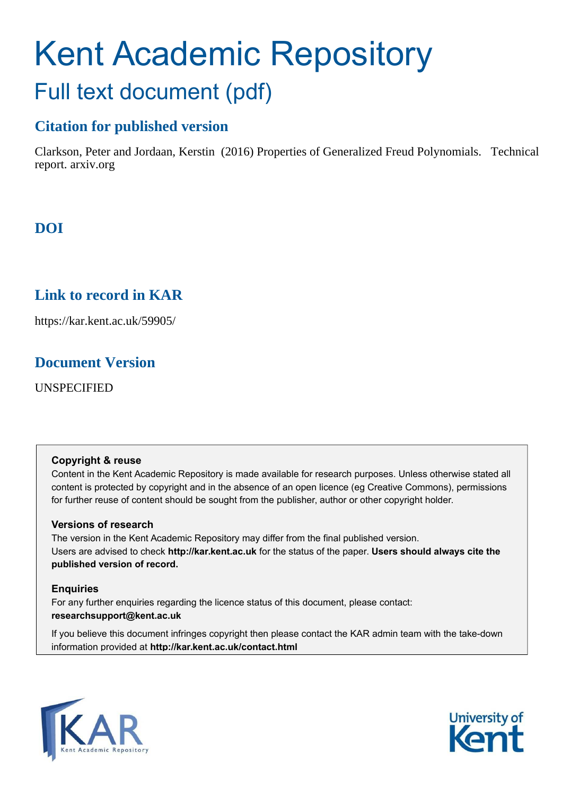# Kent Academic Repository Full text document (pdf)

# **Citation for published version**

Clarkson, Peter and Jordaan, Kerstin (2016) Properties of Generalized Freud Polynomials. Technical report. arxiv.org

# **DOI**

# **Link to record in KAR**

https://kar.kent.ac.uk/59905/

# **Document Version**

UNSPECIFIED

### **Copyright & reuse**

Content in the Kent Academic Repository is made available for research purposes. Unless otherwise stated all content is protected by copyright and in the absence of an open licence (eg Creative Commons), permissions for further reuse of content should be sought from the publisher, author or other copyright holder.

### **Versions of research**

The version in the Kent Academic Repository may differ from the final published version. Users are advised to check **http://kar.kent.ac.uk** for the status of the paper. **Users should always cite the published version of record.**

### **Enquiries**

For any further enquiries regarding the licence status of this document, please contact: **researchsupport@kent.ac.uk**

If you believe this document infringes copyright then please contact the KAR admin team with the take-down information provided at **http://kar.kent.ac.uk/contact.html**



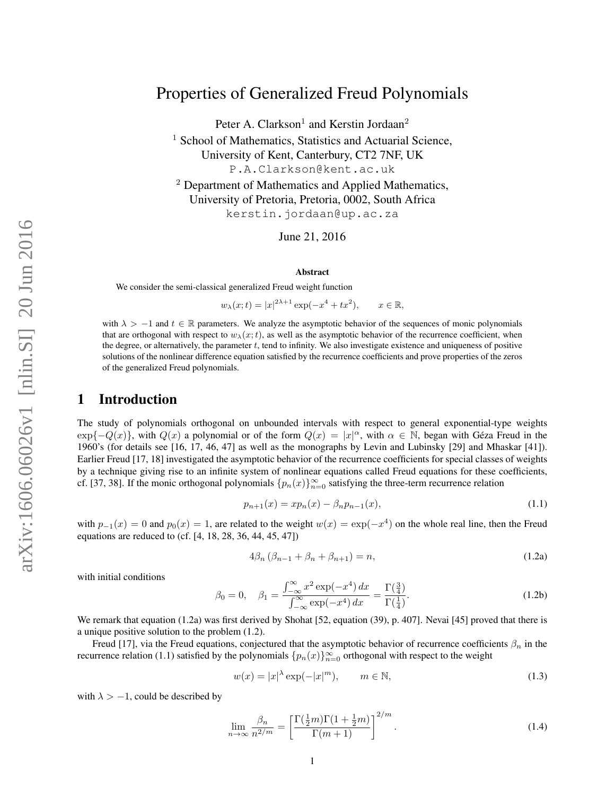## Properties of Generalized Freud Polynomials

Peter A. Clarkson<sup>1</sup> and Kerstin Jordaan<sup>2</sup>

<sup>1</sup> School of Mathematics, Statistics and Actuarial Science, University of Kent, Canterbury, CT2 7NF, UK P.A.Clarkson@kent.ac.uk

<sup>2</sup> Department of Mathematics and Applied Mathematics, University of Pretoria, Pretoria, 0002, South Africa kerstin.jordaan@up.ac.za

June 21, 2016

#### Abstract

We consider the semi-classical generalized Freud weight function

 $w_{\lambda}(x;t) = |x|^{2\lambda+1} \exp(-x^4 + tx^2)$  $x \in \mathbb{R}$ ,

with  $\lambda > -1$  and  $t \in \mathbb{R}$  parameters. We analyze the asymptotic behavior of the sequences of monic polynomials that are orthogonal with respect to  $w_\lambda(x;t)$ , as well as the asymptotic behavior of the recurrence coefficient, when the degree, or alternatively, the parameter t, tend to infinity. We also investigate existence and uniqueness of positive solutions of the nonlinear difference equation satisfied by the recurrence coefficients and prove properties of the zeros of the generalized Freud polynomials.

#### 1 Introduction

The study of polynomials orthogonal on unbounded intervals with respect to general exponential-type weights  $\exp\{-Q(x)\}\$ , with  $Q(x)$  a polynomial or of the form  $Q(x) = |x|^{\alpha}$ , with  $\alpha \in \mathbb{N}$ , began with Géza Freud in the 1960's (for details see [16, 17, 46, 47] as well as the monographs by Levin and Lubinsky [29] and Mhaskar [41]). Earlier Freud [17, 18] investigated the asymptotic behavior of the recurrence coefficients for special classes of weights by a technique giving rise to an infinite system of nonlinear equations called Freud equations for these coefficients, cf. [37, 38]. If the monic orthogonal polynomials  $\{p_n(x)\}_{n=0}^{\infty}$  satisfying the three-term recurrence relation

$$
p_{n+1}(x) = xp_n(x) - \beta_n p_{n-1}(x),
$$
\n(1.1)

with  $p_{-1}(x) = 0$  and  $p_0(x) = 1$ , are related to the weight  $w(x) = \exp(-x^4)$  on the whole real line, then the Freud equations are reduced to (cf. [4, 18, 28, 36, 44, 45, 47])

$$
4\beta_n \left(\beta_{n-1} + \beta_n + \beta_{n+1}\right) = n,\tag{1.2a}
$$

with initial conditions

$$
\beta_0 = 0, \quad \beta_1 = \frac{\int_{-\infty}^{\infty} x^2 \exp(-x^4) \, dx}{\int_{-\infty}^{\infty} \exp(-x^4) \, dx} = \frac{\Gamma(\frac{3}{4})}{\Gamma(\frac{1}{4})}.
$$
\n(1.2b)

We remark that equation (1.2a) was first derived by Shohat [52, equation (39), p. 407]. Nevai [45] proved that there is a unique positive solution to the problem (1.2).

Freud [17], via the Freud equations, conjectured that the asymptotic behavior of recurrence coefficients  $\beta_n$  in the recurrence relation (1.1) satisfied by the polynomials  $\{p_n(x)\}_{n=0}^{\infty}$  orthogonal with respect to the weight

$$
w(x) = |x|^\lambda \exp(-|x|^m), \qquad m \in \mathbb{N}, \tag{1.3}
$$

with  $\lambda > -1$ , could be described by

$$
\lim_{n \to \infty} \frac{\beta_n}{n^{2/m}} = \left[ \frac{\Gamma(\frac{1}{2}m)\Gamma(1 + \frac{1}{2}m)}{\Gamma(m+1)} \right]^{2/m}.
$$
\n(1.4)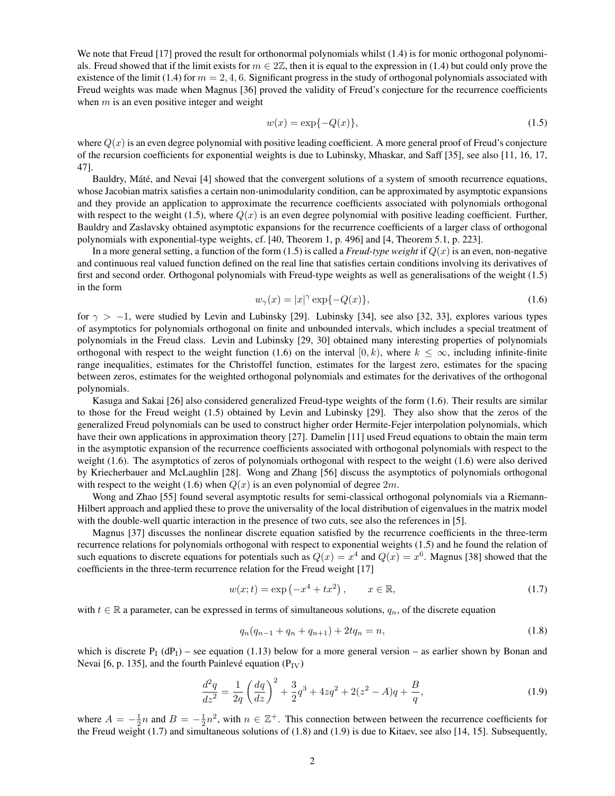We note that Freud [17] proved the result for orthonormal polynomials whilst (1.4) is for monic orthogonal polynomials. Freud showed that if the limit exists for  $m \in 2\mathbb{Z}$ , then it is equal to the expression in (1.4) but could only prove the existence of the limit (1.4) for  $m = 2, 4, 6$ . Significant progress in the study of orthogonal polynomials associated with Freud weights was made when Magnus [36] proved the validity of Freud's conjecture for the recurrence coefficients when  $m$  is an even positive integer and weight

$$
w(x) = \exp\{-Q(x)\},
$$
 (1.5)

where  $Q(x)$  is an even degree polynomial with positive leading coefficient. A more general proof of Freud's conjecture of the recursion coefficients for exponential weights is due to Lubinsky, Mhaskar, and Saff [35], see also [11, 16, 17, 47].

Bauldry, Máté, and Nevai [4] showed that the convergent solutions of a system of smooth recurrence equations, whose Jacobian matrix satisfies a certain non-unimodularity condition, can be approximated by asymptotic expansions and they provide an application to approximate the recurrence coefficients associated with polynomials orthogonal with respect to the weight (1.5), where  $Q(x)$  is an even degree polynomial with positive leading coefficient. Further, Bauldry and Zaslavsky obtained asymptotic expansions for the recurrence coefficients of a larger class of orthogonal polynomials with exponential-type weights, cf. [40, Theorem 1, p. 496] and [4, Theorem 5.1, p. 223].

In a more general setting, a function of the form  $(1.5)$  is called a *Freud-type weight* if  $Q(x)$  is an even, non-negative and continuous real valued function defined on the real line that satisfies certain conditions involving its derivatives of first and second order. Orthogonal polynomials with Freud-type weights as well as generalisations of the weight (1.5) in the form

$$
w_{\gamma}(x) = |x|^{\gamma} \exp\{-Q(x)\},\tag{1.6}
$$

for  $\gamma > -1$ , were studied by Levin and Lubinsky [29]. Lubinsky [34], see also [32, 33], explores various types of asymptotics for polynomials orthogonal on finite and unbounded intervals, which includes a special treatment of polynomials in the Freud class. Levin and Lubinsky [29, 30] obtained many interesting properties of polynomials orthogonal with respect to the weight function (1.6) on the interval [0, k), where  $k \leq \infty$ , including infinite-finite range inequalities, estimates for the Christoffel function, estimates for the largest zero, estimates for the spacing between zeros, estimates for the weighted orthogonal polynomials and estimates for the derivatives of the orthogonal polynomials.

Kasuga and Sakai [26] also considered generalized Freud-type weights of the form (1.6). Their results are similar to those for the Freud weight (1.5) obtained by Levin and Lubinsky [29]. They also show that the zeros of the generalized Freud polynomials can be used to construct higher order Hermite-Fejer interpolation polynomials, which have their own applications in approximation theory [27]. Damelin [11] used Freud equations to obtain the main term in the asymptotic expansion of the recurrence coefficients associated with orthogonal polynomials with respect to the weight (1.6). The asymptotics of zeros of polynomials orthogonal with respect to the weight (1.6) were also derived by Kriecherbauer and McLaughlin [28]. Wong and Zhang [56] discuss the asymptotics of polynomials orthogonal with respect to the weight (1.6) when  $Q(x)$  is an even polynomial of degree  $2m$ .

Wong and Zhao [55] found several asymptotic results for semi-classical orthogonal polynomials via a Riemann-Hilbert approach and applied these to prove the universality of the local distribution of eigenvalues in the matrix model with the double-well quartic interaction in the presence of two cuts, see also the references in [5].

Magnus [37] discusses the nonlinear discrete equation satisfied by the recurrence coefficients in the three-term recurrence relations for polynomials orthogonal with respect to exponential weights (1.5) and he found the relation of such equations to discrete equations for potentials such as  $Q(x) = x^4$  and  $Q(x) = x^6$ . Magnus [38] showed that the coefficients in the three-term recurrence relation for the Freud weight [17]

$$
w(x; t) = \exp(-x^4 + tx^2), \qquad x \in \mathbb{R},
$$
\n(1.7)

with  $t \in \mathbb{R}$  a parameter, can be expressed in terms of simultaneous solutions,  $q_n$ , of the discrete equation

$$
q_n(q_{n-1} + q_n + q_{n+1}) + 2tq_n = n,
$$
\n(1.8)

which is discrete  $P_1(dP_1)$  – see equation (1.13) below for a more general version – as earlier shown by Bonan and Nevai [6, p. 135], and the fourth Painlevé equation  $(P_{IV})$ 

$$
\frac{d^2q}{dz^2} = \frac{1}{2q} \left(\frac{dq}{dz}\right)^2 + \frac{3}{2}q^3 + 4zq^2 + 2(z^2 - A)q + \frac{B}{q},\tag{1.9}
$$

where  $A = -\frac{1}{2}n$  and  $B = -\frac{1}{2}n^2$ , with  $n \in \mathbb{Z}^+$ . This connection between between the recurrence coefficients for the Freud weight  $(1.7)$  and simultaneous solutions of  $(1.8)$  and  $(1.9)$  is due to Kitaev, see also [14, 15]. Subsequently,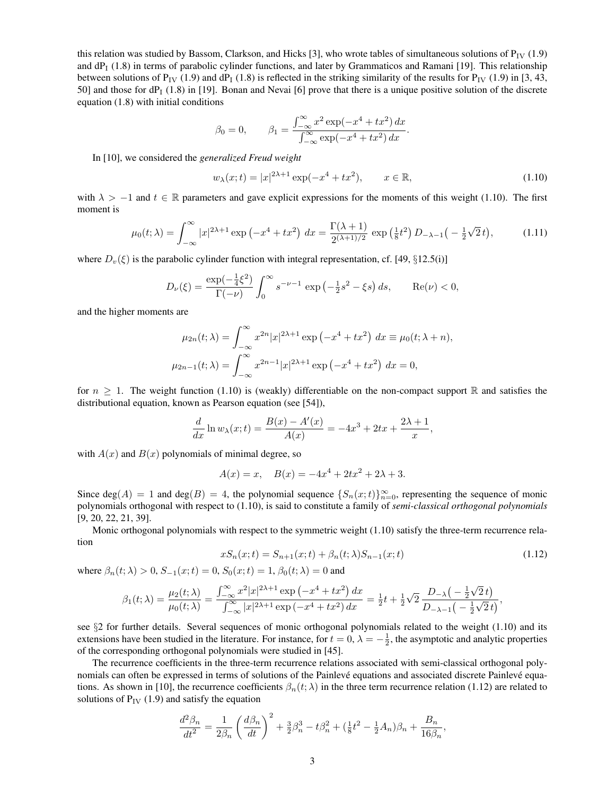this relation was studied by Bassom, Clarkson, and Hicks [3], who wrote tables of simultaneous solutions of  $P_{IV}$  (1.9) and  $dP_1$  (1.8) in terms of parabolic cylinder functions, and later by Grammaticos and Ramani [19]. This relationship between solutions of  $P_{IV}$  (1.9) and dP<sub>I</sub> (1.8) is reflected in the striking similarity of the results for  $P_{IV}$  (1.9) in [3, 43, 50] and those for dP<sub>I</sub> (1.8) in [19]. Bonan and Nevai [6] prove that there is a unique positive solution of the discrete equation (1.8) with initial conditions

$$
\beta_0 = 0,
$$
  $\beta_1 = \frac{\int_{-\infty}^{\infty} x^2 \exp(-x^4 + tx^2) dx}{\int_{-\infty}^{\infty} \exp(-x^4 + tx^2) dx}.$ 

In [10], we considered the *generalized Freud weight*

$$
w_{\lambda}(x;t) = |x|^{2\lambda + 1} \exp(-x^4 + tx^2), \qquad x \in \mathbb{R},
$$
\n(1.10)

with  $\lambda > -1$  and  $t \in \mathbb{R}$  parameters and gave explicit expressions for the moments of this weight (1.10). The first moment is

$$
\mu_0(t;\lambda) = \int_{-\infty}^{\infty} |x|^{2\lambda+1} \exp\left(-x^4 + tx^2\right) \, dx = \frac{\Gamma(\lambda+1)}{2^{(\lambda+1)/2}} \exp\left(\frac{1}{8}t^2\right) D_{-\lambda-1}\left(-\frac{1}{2}\sqrt{2}\,t\right),\tag{1.11}
$$

where  $D_v(\xi)$  is the parabolic cylinder function with integral representation, cf. [49, §12.5(i)]

$$
D_{\nu}(\xi) = \frac{\exp(-\frac{1}{4}\xi^2)}{\Gamma(-\nu)} \int_0^{\infty} s^{-\nu - 1} \exp(-\frac{1}{2}s^2 - \xi s) ds, \quad \text{Re}(\nu) < 0,
$$

and the higher moments are

$$
\mu_{2n}(t; \lambda) = \int_{-\infty}^{\infty} x^{2n} |x|^{2\lambda + 1} \exp(-x^4 + tx^2) dx \equiv \mu_0(t; \lambda + n),
$$
  

$$
\mu_{2n-1}(t; \lambda) = \int_{-\infty}^{\infty} x^{2n-1} |x|^{2\lambda + 1} \exp(-x^4 + tx^2) dx = 0,
$$

for  $n \geq 1$ . The weight function (1.10) is (weakly) differentiable on the non-compact support R and satisfies the distributional equation, known as Pearson equation (see [54]),

$$
\frac{d}{dx}\ln w_{\lambda}(x;t) = \frac{B(x) - A'(x)}{A(x)} = -4x^3 + 2tx + \frac{2\lambda + 1}{x},
$$

with  $A(x)$  and  $B(x)$  polynomials of minimal degree, so

$$
A(x) = x, \quad B(x) = -4x^4 + 2tx^2 + 2\lambda + 3.
$$

Since  $deg(A) = 1$  and  $deg(B) = 4$ , the polynomial sequence  $\{S_n(x;t)\}_{n=0}^{\infty}$ , representing the sequence of monic polynomials orthogonal with respect to (1.10), is said to constitute a family of *semi-classical orthogonal polynomials* [9, 20, 22, 21, 39].

Monic orthogonal polynomials with respect to the symmetric weight (1.10) satisfy the three-term recurrence relation

$$
xS_n(x;t) = S_{n+1}(x;t) + \beta_n(t;\lambda)S_{n-1}(x;t)
$$
\n(1.12)

where  $\beta_n(t; \lambda) > 0$ ,  $S_{-1}(x; t) = 0$ ,  $S_0(x; t) = 1$ ,  $\beta_0(t; \lambda) = 0$  and

$$
\beta_1(t;\lambda) = \frac{\mu_2(t;\lambda)}{\mu_0(t;\lambda)} = \frac{\int_{-\infty}^{\infty} x^2 |x|^{2\lambda+1} \exp\left(-x^4 + tx^2\right) dx}{\int_{-\infty}^{\infty} |x|^{2\lambda+1} \exp\left(-x^4 + tx^2\right) dx} = \frac{1}{2}t + \frac{1}{2}\sqrt{2} \frac{D_{-\lambda}\left(-\frac{1}{2}\sqrt{2}t\right)}{D_{-\lambda-1}\left(-\frac{1}{2}\sqrt{2}t\right)},
$$

see  $\S2$  for further details. Several sequences of monic orthogonal polynomials related to the weight (1.10) and its extensions have been studied in the literature. For instance, for  $t = 0$ ,  $\lambda = -\frac{1}{2}$ , the asymptotic and analytic properties of the corresponding orthogonal polynomials were studied in [45].

The recurrence coefficients in the three-term recurrence relations associated with semi-classical orthogonal polynomials can often be expressed in terms of solutions of the Painlevé equations and associated discrete Painlevé equations. As shown in [10], the recurrence coefficients  $\beta_n(t; \lambda)$  in the three term recurrence relation (1.12) are related to solutions of  $P_{IV}$  (1.9) and satisfy the equation

$$
\frac{d^2\beta_n}{dt^2} = \frac{1}{2\beta_n} \left(\frac{d\beta_n}{dt}\right)^2 + \frac{3}{2}\beta_n^3 - t\beta_n^2 + \left(\frac{1}{8}t^2 - \frac{1}{2}A_n\right)\beta_n + \frac{B_n}{16\beta_n},
$$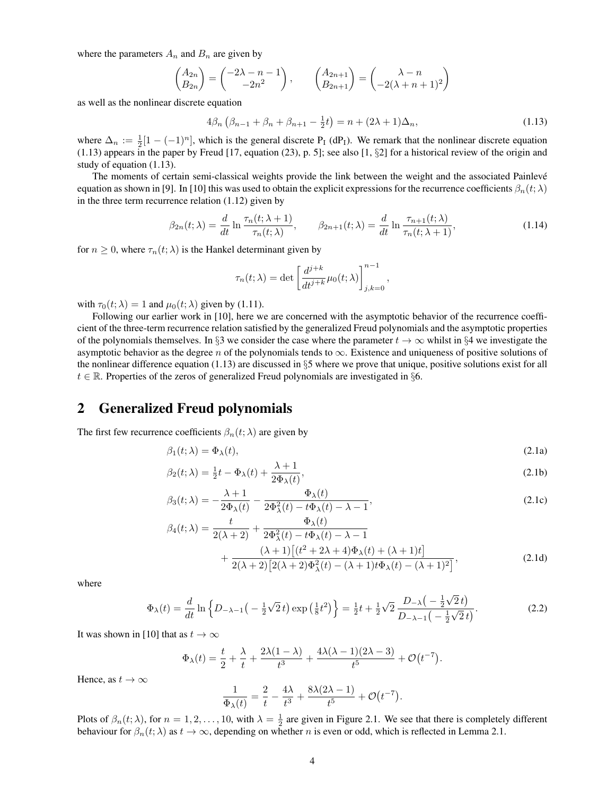where the parameters  $A_n$  and  $B_n$  are given by

$$
\begin{pmatrix} A_{2n} \\ B_{2n} \end{pmatrix} = \begin{pmatrix} -2\lambda - n - 1 \\ -2n^2 \end{pmatrix}, \qquad \begin{pmatrix} A_{2n+1} \\ B_{2n+1} \end{pmatrix} = \begin{pmatrix} \lambda - n \\ -2(\lambda + n + 1)^2 \end{pmatrix}
$$

as well as the nonlinear discrete equation

$$
4\beta_n \left( \beta_{n-1} + \beta_n + \beta_{n+1} - \frac{1}{2}t \right) = n + (2\lambda + 1)\Delta_n, \tag{1.13}
$$

where  $\Delta_n := \frac{1}{2}[1 - (-1)^n]$ , which is the general discrete P<sub>I</sub> (dP<sub>I</sub>). We remark that the nonlinear discrete equation  $(1.13)$  appears in the paper by Freud [17, equation (23), p. 5]; see also [1,  $\S2$ ] for a historical review of the origin and study of equation (1.13).

The moments of certain semi-classical weights provide the link between the weight and the associated Painlevé equation as shown in [9]. In [10] this was used to obtain the explicit expressions for the recurrence coefficients  $\beta_n(t;\lambda)$ in the three term recurrence relation (1.12) given by

$$
\beta_{2n}(t;\lambda) = \frac{d}{dt} \ln \frac{\tau_n(t;\lambda+1)}{\tau_n(t;\lambda)}, \qquad \beta_{2n+1}(t;\lambda) = \frac{d}{dt} \ln \frac{\tau_{n+1}(t;\lambda)}{\tau_n(t;\lambda+1)},
$$
\n(1.14)

for  $n \geq 0$ , where  $\tau_n(t; \lambda)$  is the Hankel determinant given by

$$
\tau_n(t;\lambda) = \det \left[ \frac{d^{j+k}}{dt^{j+k}} \mu_0(t;\lambda) \right]_{j,k=0}^{n-1},
$$

with  $\tau_0(t; \lambda) = 1$  and  $\mu_0(t; \lambda)$  given by (1.11).

Following our earlier work in [10], here we are concerned with the asymptotic behavior of the recurrence coefficient of the three-term recurrence relation satisfied by the generalized Freud polynomials and the asymptotic properties of the polynomials themselves. In §3 we consider the case where the parameter  $t \to \infty$  whilst in §4 we investigate the asymptotic behavior as the degree n of the polynomials tends to  $\infty$ . Existence and uniqueness of positive solutions of the nonlinear difference equation (1.13) are discussed in  $\S$ 5 where we prove that unique, positive solutions exist for all  $t \in \mathbb{R}$ . Properties of the zeros of generalized Freud polynomials are investigated in §6.

#### 2 Generalized Freud polynomials

The first few recurrence coefficients  $\beta_n(t; \lambda)$  are given by

$$
\beta_1(t; \lambda) = \Phi_{\lambda}(t), \tag{2.1a}
$$

$$
\beta_2(t;\lambda) = \frac{1}{2}t - \Phi_\lambda(t) + \frac{\lambda + 1}{2\Phi_\lambda(t)},
$$
\n(2.1b)

$$
\beta_3(t;\lambda) = -\frac{\lambda+1}{2\Phi_\lambda(t)} - \frac{\Phi_\lambda(t)}{2\Phi_\lambda^2(t) - t\Phi_\lambda(t) - \lambda - 1},\tag{2.1c}
$$

$$
\beta_4(t;\lambda) = \frac{t}{2(\lambda+2)} + \frac{\Phi_{\lambda}(t)}{2\Phi_{\lambda}^2(t) - t\Phi_{\lambda}(t) - \lambda - 1} + \frac{(\lambda+1)[(t^2+2\lambda+4)\Phi_{\lambda}(t) + (\lambda+1)t]}{2(\lambda+2)[2(\lambda+2)\Phi_{\lambda}^2(t) - (\lambda+1)t\Phi_{\lambda}(t) - (\lambda+1)^2]},
$$
\n(2.1d)

where

$$
\Phi_{\lambda}(t) = \frac{d}{dt} \ln \left\{ D_{-\lambda-1} \left( -\frac{1}{2} \sqrt{2} t \right) \exp \left( \frac{1}{8} t^2 \right) \right\} = \frac{1}{2} t + \frac{1}{2} \sqrt{2} \frac{D_{-\lambda} \left( -\frac{1}{2} \sqrt{2} t \right)}{D_{-\lambda-1} \left( -\frac{1}{2} \sqrt{2} t \right)}.
$$
\n(2.2)

It was shown in [10] that as  $t \to \infty$ 

$$
\Phi_{\lambda}(t) = \frac{t}{2} + \frac{\lambda}{t} + \frac{2\lambda(1-\lambda)}{t^3} + \frac{4\lambda(\lambda-1)(2\lambda-3)}{t^5} + \mathcal{O}(t^{-7}).
$$

Hence, as  $t \to \infty$ 

$$
\frac{1}{\Phi_{\lambda}(t)} = \frac{2}{t} - \frac{4\lambda}{t^3} + \frac{8\lambda(2\lambda - 1)}{t^5} + \mathcal{O}(t^{-7}).
$$

Plots of  $\beta_n(t; \lambda)$ , for  $n = 1, 2, ..., 10$ , with  $\lambda = \frac{1}{2}$  are given in Figure 2.1. We see that there is completely different behaviour for  $\beta_n(t; \lambda)$  as  $t \to \infty$ , depending on whether n is even or odd, which is reflected in Lemma 2.1.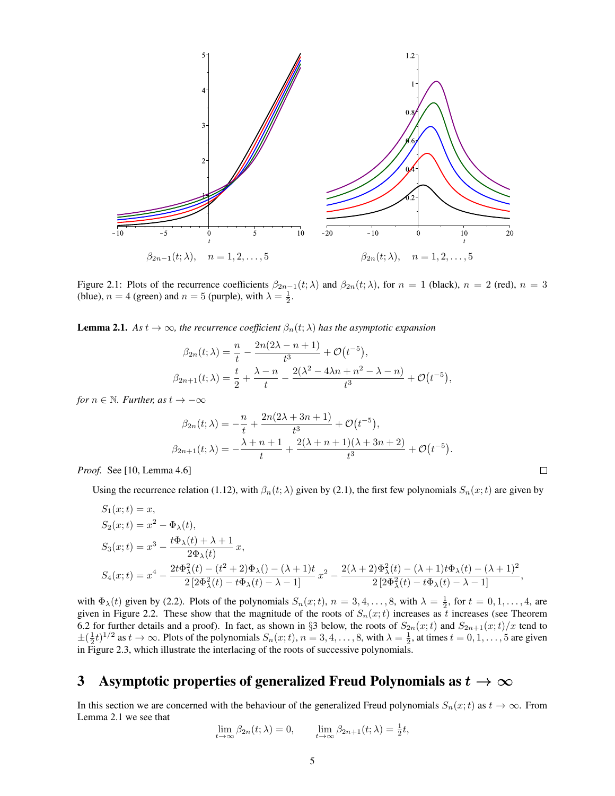

Figure 2.1: Plots of the recurrence coefficients  $\beta_{2n-1}(t; \lambda)$  and  $\beta_{2n}(t; \lambda)$ , for  $n = 1$  (black),  $n = 2$  (red),  $n = 3$ (blue),  $n = 4$  (green) and  $n = 5$  (purple), with  $\lambda = \frac{1}{2}$ .

**Lemma 2.1.** *As*  $t \to \infty$ *, the recurrence coefficient*  $\beta_n(t; \lambda)$  *has the asymptotic expansion* 

$$
\beta_{2n}(t; \lambda) = \frac{n}{t} - \frac{2n(2\lambda - n + 1)}{t^3} + \mathcal{O}(t^{-5}),
$$
  

$$
\beta_{2n+1}(t; \lambda) = \frac{t}{2} + \frac{\lambda - n}{t} - \frac{2(\lambda^2 - 4\lambda n + n^2 - \lambda - n)}{t^3} + \mathcal{O}(t^{-5}),
$$

*for*  $n \in \mathbb{N}$ *. Further, as*  $t \to -\infty$ 

$$
\beta_{2n}(t; \lambda) = -\frac{n}{t} + \frac{2n(2\lambda + 3n + 1)}{t^3} + \mathcal{O}(t^{-5}),
$$
  

$$
\beta_{2n+1}(t; \lambda) = -\frac{\lambda + n + 1}{t} + \frac{2(\lambda + n + 1)(\lambda + 3n + 2)}{t^3} + \mathcal{O}(t^{-5}).
$$

 $\Box$ 

*Proof.* See [10, Lemma 4.6]

Using the recurrence relation (1.12), with  $\beta_n(t; \lambda)$  given by (2.1), the first few polynomials  $S_n(x; t)$  are given by

$$
S_1(x;t) = x,
$$
  
\n
$$
S_2(x;t) = x^2 - \Phi_{\lambda}(t),
$$
  
\n
$$
S_3(x;t) = x^3 - \frac{t\Phi_{\lambda}(t) + \lambda + 1}{2\Phi_{\lambda}(t)}x,
$$
  
\n
$$
S_4(x;t) = x^4 - \frac{2t\Phi_{\lambda}^2(t) - (t^2 + 2)\Phi_{\lambda}(-\lambda + 1)t}{2[2\Phi_{\lambda}^2(t) - t\Phi_{\lambda}(t) - \lambda - 1]}x^2 - \frac{2(\lambda + 2)\Phi_{\lambda}^2(t) - (\lambda + 1)t\Phi_{\lambda}(t) - (\lambda + 1)^2}{2[2\Phi_{\lambda}^2(t) - t\Phi_{\lambda}(t) - \lambda - 1]},
$$

with  $\Phi_{\lambda}(t)$  given by (2.2). Plots of the polynomials  $S_n(x;t)$ ,  $n = 3, 4, ..., 8$ , with  $\lambda = \frac{1}{2}$ , for  $t = 0, 1, ..., 4$ , are given in Figure 2.2. These show that the magnitude of the roots of  $S_n(x;t)$  increases as t increases (see Theorem 6.2 for further details and a proof). In fact, as shown in §3 below, the roots of  $S_{2n}(x;t)$  and  $S_{2n+1}(x;t)/x$  tend to  $\pm(\frac{1}{2}t)^{1/2}$  as  $t \to \infty$ . Plots of the polynomials  $S_n(x;t)$ ,  $n = 3, 4, \ldots, 8$ , with  $\lambda = \frac{1}{2}$ , at times  $t = 0, 1, \ldots, 5$  are given in Figure 2.3, which illustrate the interlacing of the roots of successive polynomials.

### 3 Asymptotic properties of generalized Freud Polynomials as  $t \to \infty$

In this section we are concerned with the behaviour of the generalized Freud polynomials  $S_n(x;t)$  as  $t \to \infty$ . From Lemma 2.1 we see that

$$
\lim_{t \to \infty} \beta_{2n}(t; \lambda) = 0, \qquad \lim_{t \to \infty} \beta_{2n+1}(t; \lambda) = \frac{1}{2}t,
$$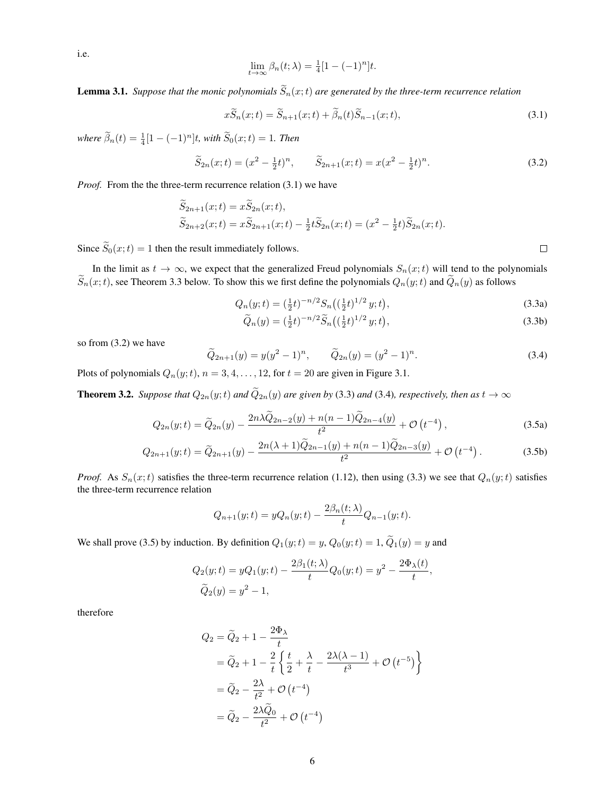i.e.

$$
\lim_{t \to \infty} \beta_n(t; \lambda) = \frac{1}{4} [1 - (-1)^n] t.
$$

**Lemma 3.1.** *Suppose that the monic polynomials*  $\widetilde{S}_n(x;t)$  *are generated by the three-term recurrence relation* 

$$
x\widetilde{S}_n(x;t) = \widetilde{S}_{n+1}(x;t) + \widetilde{\beta}_n(t)\widetilde{S}_{n-1}(x;t),
$$
\n(3.1)

 $where \ \tilde{\beta}_n(t) = \frac{1}{4} [1 - (-1)^n] t$ , with  $\tilde{S}_0(x; t) = 1$ . Then

$$
\widetilde{S}_{2n}(x;t) = (x^2 - \frac{1}{2}t)^n, \qquad \widetilde{S}_{2n+1}(x;t) = x(x^2 - \frac{1}{2}t)^n.
$$
\n(3.2)

*Proof.* From the the three-term recurrence relation (3.1) we have

$$
\widetilde{S}_{2n+1}(x;t) = x\widetilde{S}_{2n}(x;t), \n\widetilde{S}_{2n+2}(x;t) = x\widetilde{S}_{2n+1}(x;t) - \frac{1}{2}t\widetilde{S}_{2n}(x;t) = (x^2 - \frac{1}{2}t)\widetilde{S}_{2n}(x;t).
$$

Since  $\widetilde{S}_0(x;t) = 1$  then the result immediately follows.

In the limit as  $t \to \infty$ , we expect that the generalized Freud polynomials  $S_n(x;t)$  will tend to the polynomials  $\widetilde{S}_n(x;t)$ , see Theorem 3.3 below. To show this we first define the polynomials  $Q_n(y;t)$  and  $\widetilde{Q}_n(y)$  as follows

$$
Q_n(y;t) = \left(\frac{1}{2}t\right)^{-n/2} S_n\left(\left(\frac{1}{2}t\right)^{1/2} y;t\right),\tag{3.3a}
$$

$$
\widetilde{Q}_n(y) = \left(\frac{1}{2}t\right)^{-n/2} \widetilde{S}_n\left(\left(\frac{1}{2}t\right)^{1/2} y; t\right),\tag{3.3b}
$$

so from (3.2) we have

$$
\widetilde{Q}_{2n+1}(y) = y(y^2 - 1)^n, \qquad \widetilde{Q}_{2n}(y) = (y^2 - 1)^n.
$$
\n(3.4)

Plots of polynomials  $Q_n(y; t)$ ,  $n = 3, 4, \ldots, 12$ , for  $t = 20$  are given in Figure 3.1.

**Theorem 3.2.** *Suppose that*  $Q_{2n}(y;t)$  *and*  $\widetilde{Q}_{2n}(y)$  *are given by* (3.3) *and* (3.4)*, respectively, then as*  $t \to \infty$ 

$$
Q_{2n}(y;t) = \widetilde{Q}_{2n}(y) - \frac{2n\lambda\widetilde{Q}_{2n-2}(y) + n(n-1)\widetilde{Q}_{2n-4}(y)}{t^2} + \mathcal{O}\left(t^{-4}\right),\tag{3.5a}
$$

$$
Q_{2n+1}(y;t) = \tilde{Q}_{2n+1}(y) - \frac{2n(\lambda+1)\tilde{Q}_{2n-1}(y) + n(n-1)\tilde{Q}_{2n-3}(y)}{t^2} + \mathcal{O}(t^{-4}).
$$
 (3.5b)

*Proof.* As  $S_n(x;t)$  satisfies the three-term recurrence relation (1.12), then using (3.3) we see that  $Q_n(y;t)$  satisfies the three-term recurrence relation

$$
Q_{n+1}(y;t) = yQ_n(y;t) - \frac{2\beta_n(t;\lambda)}{t}Q_{n-1}(y;t).
$$

We shall prove (3.5) by induction. By definition  $Q_1(y; t) = y$ ,  $Q_0(y; t) = 1$ ,  $\widetilde{Q}_1(y) = y$  and

$$
Q_2(y;t) = yQ_1(y;t) - \frac{2\beta_1(t;\lambda)}{t}Q_0(y;t) = y^2 - \frac{2\Phi_\lambda(t)}{t},
$$
  

$$
\widetilde{Q}_2(y) = y^2 - 1,
$$

therefore

$$
Q_2 = \widetilde{Q}_2 + 1 - \frac{2\Phi_{\lambda}}{t}
$$
  
=  $\widetilde{Q}_2 + 1 - \frac{2}{t} \left\{ \frac{t}{2} + \frac{\lambda}{t} - \frac{2\lambda(\lambda - 1)}{t^3} + \mathcal{O}(t^{-5}) \right\}$   
=  $\widetilde{Q}_2 - \frac{2\lambda}{t^2} + \mathcal{O}(t^{-4})$   
=  $\widetilde{Q}_2 - \frac{2\lambda \widetilde{Q}_0}{t^2} + \mathcal{O}(t^{-4})$ 

 $\Box$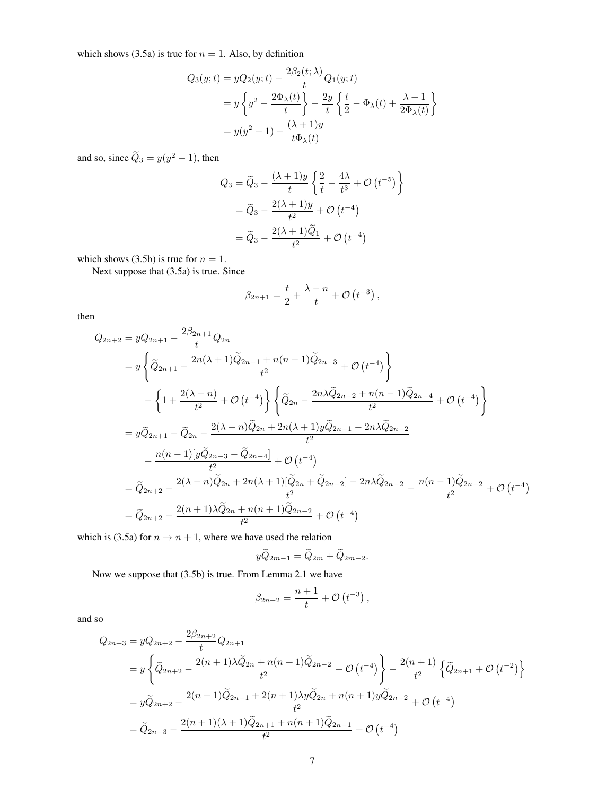which shows (3.5a) is true for  $n = 1$ . Also, by definition

$$
Q_3(y;t) = yQ_2(y;t) - \frac{2\beta_2(t;\lambda)}{t}Q_1(y;t)
$$
  
=  $y\left\{y^2 - \frac{2\Phi_\lambda(t)}{t}\right\} - \frac{2y}{t}\left\{\frac{t}{2} - \Phi_\lambda(t) + \frac{\lambda+1}{2\Phi_\lambda(t)}\right\}$   
=  $y(y^2 - 1) - \frac{(\lambda+1)y}{t\Phi_\lambda(t)}$ 

and so, since  $\ddot{Q}_3 = y(y^2 - 1)$ , then

$$
Q_3 = \widetilde{Q}_3 - \frac{(\lambda + 1)y}{t} \left\{ \frac{2}{t} - \frac{4\lambda}{t^3} + \mathcal{O}(t^{-5}) \right\}
$$

$$
= \widetilde{Q}_3 - \frac{2(\lambda + 1)y}{t^2} + \mathcal{O}(t^{-4})
$$

$$
= \widetilde{Q}_3 - \frac{2(\lambda + 1)\widetilde{Q}_1}{t^2} + \mathcal{O}(t^{-4})
$$

which shows (3.5b) is true for  $n = 1$ .

Next suppose that (3.5a) is true. Since

$$
\beta_{2n+1} = \frac{t}{2} + \frac{\lambda - n}{t} + \mathcal{O}(t^{-3}),
$$

then

$$
Q_{2n+2} = yQ_{2n+1} - \frac{2\beta_{2n+1}}{t}Q_{2n}
$$
  
=  $y\left\{\tilde{Q}_{2n+1} - \frac{2n(\lambda+1)\tilde{Q}_{2n-1} + n(n-1)\tilde{Q}_{2n-3}}{t^2} + \mathcal{O}(t^{-4})\right\}$   
 $-\left\{1 + \frac{2(\lambda - n)}{t^2} + \mathcal{O}(t^{-4})\right\} \left\{\tilde{Q}_{2n} - \frac{2n\lambda\tilde{Q}_{2n-2} + n(n-1)\tilde{Q}_{2n-4}}{t^2} + \mathcal{O}(t^{-4})\right\}$   
=  $y\tilde{Q}_{2n+1} - \tilde{Q}_{2n} - \frac{2(\lambda - n)\tilde{Q}_{2n} + 2n(\lambda + 1)y\tilde{Q}_{2n-1} - 2n\lambda\tilde{Q}_{2n-2}}{t^2}$   
 $-\frac{n(n-1)[y\tilde{Q}_{2n-3} - \tilde{Q}_{2n-4}]}{t^2} + \mathcal{O}(t^{-4})$   
=  $\tilde{Q}_{2n+2} - \frac{2(\lambda - n)\tilde{Q}_{2n} + 2n(\lambda + 1)[\tilde{Q}_{2n} + \tilde{Q}_{2n-2}] - 2n\lambda\tilde{Q}_{2n-2}}{t^2} - \frac{n(n-1)\tilde{Q}_{2n-2}}{t^2} + \mathcal{O}(t^{-4})$   
=  $\tilde{Q}_{2n+2} - \frac{2(n+1)\lambda\tilde{Q}_{2n} + n(n+1)\tilde{Q}_{2n-2}}{t^2} + \mathcal{O}(t^{-4})$ 

which is (3.5a) for  $n \to n + 1$ , where we have used the relation

$$
y\widetilde{Q}_{2m-1} = \widetilde{Q}_{2m} + \widetilde{Q}_{2m-2}.
$$

Now we suppose that (3.5b) is true. From Lemma 2.1 we have

$$
\beta_{2n+2} = \frac{n+1}{t} + \mathcal{O}(t^{-3}),
$$

and so

$$
Q_{2n+3} = yQ_{2n+2} - \frac{2\beta_{2n+2}}{t}Q_{2n+1}
$$
  
=  $y\left\{\tilde{Q}_{2n+2} - \frac{2(n+1)\lambda\tilde{Q}_{2n} + n(n+1)\tilde{Q}_{2n-2}}{t^2} + \mathcal{O}(t^{-4})\right\} - \frac{2(n+1)}{t^2}\left\{\tilde{Q}_{2n+1} + \mathcal{O}(t^{-2})\right\}$   
=  $y\tilde{Q}_{2n+2} - \frac{2(n+1)\tilde{Q}_{2n+1} + 2(n+1)\lambda y\tilde{Q}_{2n} + n(n+1)y\tilde{Q}_{2n-2}}{t^2} + \mathcal{O}(t^{-4})$   
=  $\tilde{Q}_{2n+3} - \frac{2(n+1)(\lambda+1)\tilde{Q}_{2n+1} + n(n+1)\tilde{Q}_{2n-1}}{t^2} + \mathcal{O}(t^{-4})$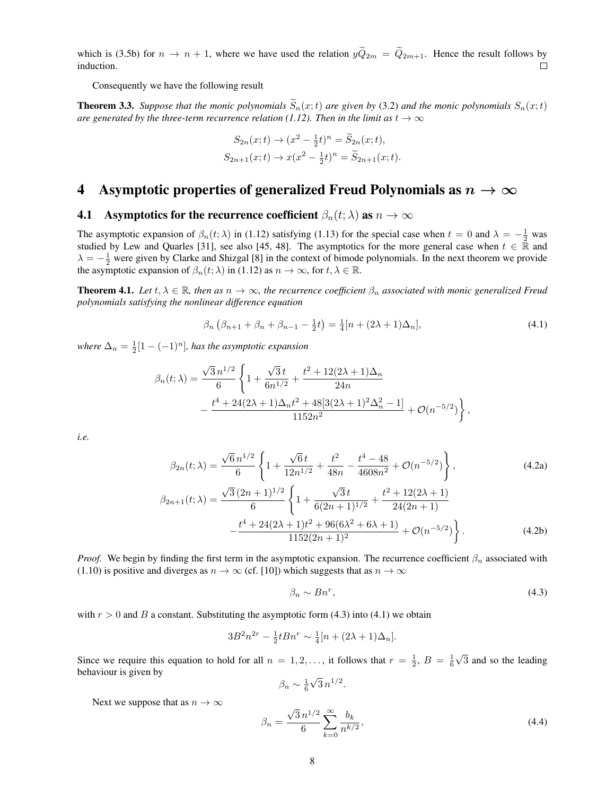which is (3.5b) for  $n \to n + 1$ , where we have used the relation  $y\tilde{Q}_{2m} = \tilde{Q}_{2m+1}$ . Hence the result follows by induction. induction.

Consequently we have the following result

**Theorem 3.3.** *Suppose that the monic polynomials*  $\widetilde{S}_n(x;t)$  *are given by* (3.2) *and the monic polynomials*  $S_n(x;t)$ *are generated by the three-term recurrence relation (1.12). Then in the limit as*  $t \to \infty$ 

$$
S_{2n}(x;t) \to (x^2 - \frac{1}{2}t)^n = \widetilde{S}_{2n}(x;t),
$$
  
\n
$$
S_{2n+1}(x;t) \to x(x^2 - \frac{1}{2}t)^n = \widetilde{S}_{2n+1}(x;t).
$$

## 4 Asymptotic properties of generalized Freud Polynomials as  $n \to \infty$

#### **4.1** Asymptotics for the recurrence coefficient  $\beta_n(t; \lambda)$  as  $n \to \infty$

The asymptotic expansion of  $\beta_n(t;\lambda)$  in (1.12) satisfying (1.13) for the special case when  $t=0$  and  $\lambda=-\frac{1}{2}$  was studied by Lew and Quarles [31], see also [45, 48]. The asymptotics for the more general case when  $t \in \mathbb{R}$  and  $\lambda = -\frac{1}{2}$  were given by Clarke and Shizgal [8] in the context of bimode polynomials. In the next theorem we provide the asymptotic expansion of  $\beta_n(t; \lambda)$  in (1.12) as  $n \to \infty$ , for  $t, \lambda \in \mathbb{R}$ .

**Theorem 4.1.** Let  $t, \lambda \in \mathbb{R}$ , then as  $n \to \infty$ , the recurrence coefficient  $\beta_n$  associated with monic generalized Freud *polynomials satisfying the nonlinear difference equation*

$$
\beta_n \left( \beta_{n+1} + \beta_n + \beta_{n-1} - \frac{1}{2} t \right) = \frac{1}{4} [n + (2\lambda + 1)\Delta_n], \tag{4.1}
$$

where  $\Delta_n = \frac{1}{2}[1 - (-1)^n]$ , has the asymptotic expansion

$$
\beta_n(t;\lambda) = \frac{\sqrt{3} n^{1/2}}{6} \left\{ 1 + \frac{\sqrt{3} t}{6n^{1/2}} + \frac{t^2 + 12(2\lambda + 1)\Delta_n}{24n} - \frac{t^4 + 24(2\lambda + 1)\Delta_n t^2 + 48[3(2\lambda + 1)^2 \Delta_n^2 - 1]}{1152n^2} + \mathcal{O}(n^{-5/2}) \right\},
$$

*i.e.*

$$
\beta_{2n}(t; \lambda) = \frac{\sqrt{6} n^{1/2}}{6} \left\{ 1 + \frac{\sqrt{6} t}{12 n^{1/2}} + \frac{t^2}{48n} - \frac{t^4 - 48}{4608 n^2} + \mathcal{O}(n^{-5/2}) \right\},
$$
\n
$$
\beta_{2n+1}(t; \lambda) = \frac{\sqrt{3} (2n+1)^{1/2}}{6} \left\{ 1 + \frac{\sqrt{3} t}{6(2n+1)^{1/2}} + \frac{t^2 + 12(2\lambda + 1)}{24(2n+1)} \right\}.
$$
\n(4.2a)

$$
-\frac{t^4 + 24(2\lambda + 1)t^2 + 96(6\lambda^2 + 6\lambda + 1)}{1152(2n + 1)^2} + \mathcal{O}(n^{-5/2})
$$
 (4.2b)

*Proof.* We begin by finding the first term in the asymptotic expansion. The recurrence coefficient  $\beta_n$  associated with (1.10) is positive and diverges as  $n \to \infty$  (cf. [10]) which suggests that as  $n \to \infty$ 

$$
\beta_n \sim Bn^r,\tag{4.3}
$$

with  $r > 0$  and B a constant. Substituting the asymptotic form (4.3) into (4.1) we obtain

$$
3B^{2}n^{2r} - \frac{1}{2}tBn^{r} \sim \frac{1}{4}[n + (2\lambda + 1)\Delta_{n}].
$$

Since we require this equation to hold for all  $n = 1, 2, \ldots$ , it follows that  $r = \frac{1}{2}$ ,  $B = \frac{1}{6}\sqrt{3}$  and so the leading behaviour is given by

$$
\beta_n \sim \frac{1}{6}\sqrt{3} \, n^{1/2}.
$$

Next we suppose that as  $n \to \infty$ 

$$
\beta_n = \frac{\sqrt{3} \, n^{1/2}}{6} \sum_{k=0}^{\infty} \frac{b_k}{n^{k/2}},\tag{4.4}
$$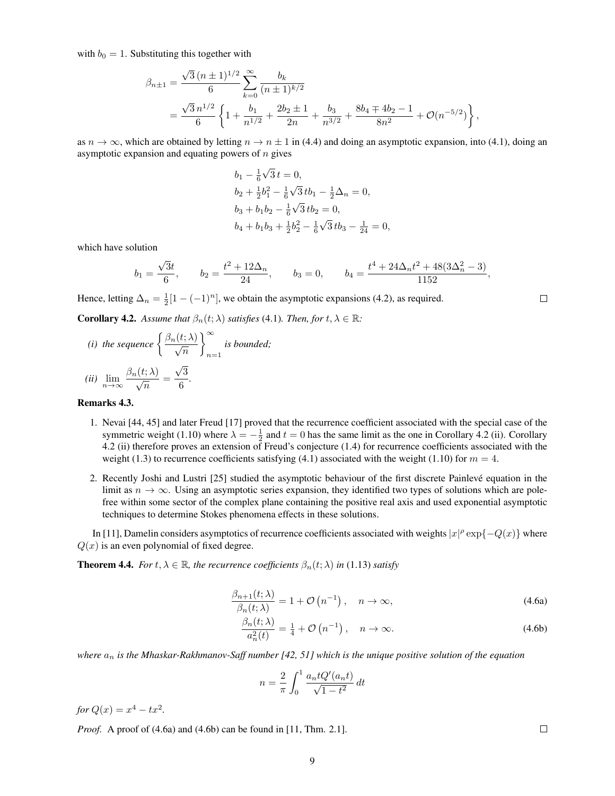with  $b_0 = 1$ . Substituting this together with

$$
\beta_{n\pm 1} = \frac{\sqrt{3} (n \pm 1)^{1/2}}{6} \sum_{k=0}^{\infty} \frac{b_k}{(n \pm 1)^{k/2}}
$$
  
= 
$$
\frac{\sqrt{3} n^{1/2}}{6} \left\{ 1 + \frac{b_1}{n^{1/2}} + \frac{2b_2 \pm 1}{2n} + \frac{b_3}{n^{3/2}} + \frac{8b_4 \mp 4b_2 - 1}{8n^2} + \mathcal{O}(n^{-5/2}) \right\},
$$

as  $n \to \infty$ , which are obtained by letting  $n \to n \pm 1$  in (4.4) and doing an asymptotic expansion, into (4.1), doing an asymptotic expansion and equating powers of  $n$  gives

$$
b_1 - \frac{1}{6}\sqrt{3} t = 0,
$$
  
\n
$$
b_2 + \frac{1}{2}b_1^2 - \frac{1}{6}\sqrt{3}tb_1 - \frac{1}{2}\Delta_n = 0,
$$
  
\n
$$
b_3 + b_1b_2 - \frac{1}{6}\sqrt{3}tb_2 = 0,
$$
  
\n
$$
b_4 + b_1b_3 + \frac{1}{2}b_2^2 - \frac{1}{6}\sqrt{3}tb_3 - \frac{1}{24} = 0,
$$

which have solution

$$
b_1 = \frac{\sqrt{3}t}{6}
$$
,  $b_2 = \frac{t^2 + 12\Delta_n}{24}$ ,  $b_3 = 0$ ,  $b_4 = \frac{t^4 + 24\Delta_n t^2 + 48(3\Delta_n^2 - 3)}{1152}$ ,

Hence, letting  $\Delta_n = \frac{1}{2} [1 - (-1)^n]$ , we obtain the asymptotic expansions (4.2), as required.

**Corollary 4.2.** *Assume that*  $\beta_n(t; \lambda)$  *satisfies* (4.1)*. Then, for*  $t, \lambda \in \mathbb{R}$ *:* 

(i) the sequence 
$$
\left\{\frac{\beta_n(t;\lambda)}{\sqrt{n}}\right\}_{n=1}^{\infty}
$$
 is bounded;  
 $\beta_n(t;\lambda) = \sqrt{3}$ 

(*ii*) 
$$
\lim_{n \to \infty} \frac{\beta_n(t; \lambda)}{\sqrt{n}} = \frac{\sqrt{3}}{6}.
$$

#### Remarks 4.3.

- 1. Nevai [44, 45] and later Freud [17] proved that the recurrence coefficient associated with the special case of the symmetric weight (1.10) where  $\lambda = -\frac{1}{2}$  and  $t = 0$  has the same limit as the one in Corollary 4.2 (ii). Corollary 4.2 (ii) therefore proves an extension of Freud's conjecture (1.4) for recurrence coefficients associated with the weight (1.3) to recurrence coefficients satisfying (4.1) associated with the weight (1.10) for  $m = 4$ .
- 2. Recently Joshi and Lustri [25] studied the asymptotic behaviour of the first discrete Painleve equation in the ´ limit as  $n \to \infty$ . Using an asymptotic series expansion, they identified two types of solutions which are polefree within some sector of the complex plane containing the positive real axis and used exponential asymptotic techniques to determine Stokes phenomena effects in these solutions.

In [11], Damelin considers asymptotics of recurrence coefficients associated with weights  $|x|^{\rho} \exp\{-Q(x)\}\$  where  $Q(x)$  is an even polynomial of fixed degree.

**Theorem 4.4.** *For*  $t, \lambda \in \mathbb{R}$ *, the recurrence coefficients*  $\beta_n(t; \lambda)$  *in* (1.13) *satisfy* 

$$
\frac{\beta_{n+1}(t;\lambda)}{\beta_n(t;\lambda)} = 1 + \mathcal{O}\left(n^{-1}\right), \quad n \to \infty,
$$
\n(4.6a)

$$
\frac{\beta_n(t;\lambda)}{a_n^2(t)} = \frac{1}{4} + \mathcal{O}\left(n^{-1}\right), \quad n \to \infty.
$$
\n(4.6b)

*where* a<sup>n</sup> *is the Mhaskar-Rakhmanov-Saff number [42, 51] which is the unique positive solution of the equation*

$$
n = \frac{2}{\pi} \int_0^1 \frac{a_n t Q'(a_n t)}{\sqrt{1 - t^2}} dt
$$

*for*  $Q(x) = x^4 - tx^2$ .

*Proof.* A proof of (4.6a) and (4.6b) can be found in [11, Thm. 2.1].

 $\Box$ 

 $\Box$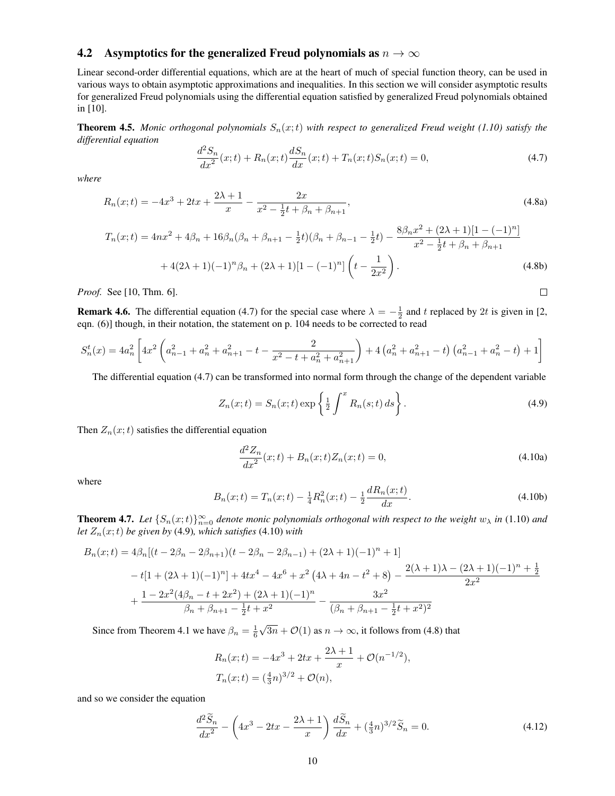#### 4.2 Asymptotics for the generalized Freud polynomials as  $n \to \infty$

Linear second-order differential equations, which are at the heart of much of special function theory, can be used in various ways to obtain asymptotic approximations and inequalities. In this section we will consider asymptotic results for generalized Freud polynomials using the differential equation satisfied by generalized Freud polynomials obtained in [10].

**Theorem 4.5.** *Monic orthogonal polynomials*  $S_n(x;t)$  *with respect to generalized Freud weight (1.10) satisfy the differential equation*

$$
\frac{d^2S_n}{dx^2}(x;t) + R_n(x;t)\frac{dS_n}{dx}(x;t) + T_n(x;t)S_n(x;t) = 0,
$$
\n(4.7)

*where*

$$
R_n(x;t) = -4x^3 + 2tx + \frac{2\lambda + 1}{x} - \frac{2x}{x^2 - \frac{1}{2}t + \beta_n + \beta_{n+1}},
$$
\n(4.8a)

$$
T_n(x;t) = 4nx^2 + 4\beta_n + 16\beta_n(\beta_n + \beta_{n+1} - \frac{1}{2}t)(\beta_n + \beta_{n-1} - \frac{1}{2}t) - \frac{8\beta_n x^2 + (2\lambda + 1)[1 - (-1)^n]}{x^2 - \frac{1}{2}t + \beta_n + \beta_{n+1}} + 4(2\lambda + 1)(-1)^n \beta_n + (2\lambda + 1)[1 - (-1)^n] \left(t - \frac{1}{2x^2}\right).
$$
\n(4.8b)

*Proof.* See [10, Thm. 6].

**Remark 4.6.** The differential equation (4.7) for the special case where  $\lambda = -\frac{1}{2}$  and t replaced by 2t is given in [2, eqn. (6)] though, in their notation, the statement on p. 104 needs to be corrected to read

$$
S_n^t(x) = 4a_n^2 \left[ 4x^2 \left( a_{n-1}^2 + a_n^2 + a_{n+1}^2 - t - \frac{2}{x^2 - t + a_n^2 + a_{n+1}^2} \right) + 4 \left( a_n^2 + a_{n+1}^2 - t \right) \left( a_{n-1}^2 + a_n^2 - t \right) + 1 \right]
$$

The differential equation (4.7) can be transformed into normal form through the change of the dependent variable

$$
Z_n(x;t) = S_n(x;t) \exp\left\{\frac{1}{2} \int^x R_n(s;t) \, ds\right\}.
$$
\n
$$
(4.9)
$$

 $\Box$ 

Then  $Z_n(x;t)$  satisfies the differential equation

$$
\frac{d^2 Z_n}{dx^2}(x;t) + B_n(x;t)Z_n(x;t) = 0,
$$
\n(4.10a)

where

$$
B_n(x;t) = T_n(x;t) - \frac{1}{4}R_n^2(x;t) - \frac{1}{2}\frac{dR_n(x;t)}{dx}.
$$
\n(4.10b)

**Theorem 4.7.** Let  $\{S_n(x;t)\}_{n=0}^{\infty}$  denote monic polynomials orthogonal with respect to the weight  $w_\lambda$  in (1.10) and *let*  $Z_n(x;t)$  *be given by* (4.9)*, which satisfies* (4.10*) with* 

$$
B_n(x;t) = 4\beta_n[(t - 2\beta_n - 2\beta_{n+1})(t - 2\beta_n - 2\beta_{n-1}) + (2\lambda + 1)(-1)^n + 1]
$$
  

$$
-t[1 + (2\lambda + 1)(-1)^n] + 4tx^4 - 4x^6 + x^2(4\lambda + 4n - t^2 + 8) - \frac{2(\lambda + 1)\lambda - (2\lambda + 1)(-1)^n + \frac{1}{2}}{2x^2}
$$
  

$$
+ \frac{1 - 2x^2(4\beta_n - t + 2x^2) + (2\lambda + 1)(-1)^n}{\beta_n + \beta_{n+1} - \frac{1}{2}t + x^2} - \frac{3x^2}{(\beta_n + \beta_{n+1} - \frac{1}{2}t + x^2)^2}
$$

Since from Theorem 4.1 we have  $\beta_n = \frac{1}{6}\sqrt{3n} + \mathcal{O}(1)$  as  $n \to \infty$ , it follows from (4.8) that

$$
R_n(x;t) = -4x^3 + 2tx + \frac{2\lambda + 1}{x} + \mathcal{O}(n^{-1/2}),
$$
  
\n
$$
T_n(x;t) = (\frac{4}{3}n)^{3/2} + \mathcal{O}(n),
$$

and so we consider the equation

$$
\frac{d^2\widetilde{S}_n}{dx^2} - \left(4x^3 - 2tx - \frac{2\lambda + 1}{x}\right)\frac{d\widetilde{S}_n}{dx} + \left(\frac{4}{3}n\right)^{3/2}\widetilde{S}_n = 0.
$$
\n(4.12)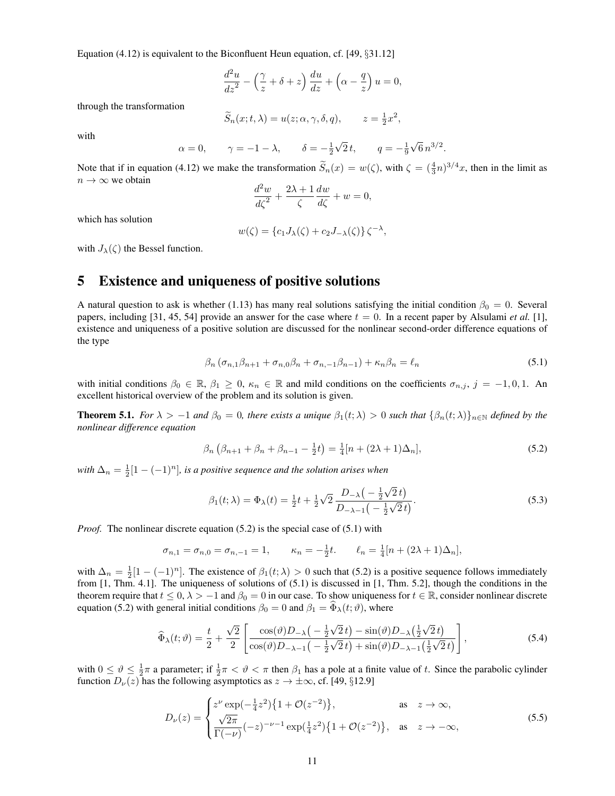Equation (4.12) is equivalent to the Biconfluent Heun equation, cf. [49, §31.12]

$$
\frac{d^2u}{dz^2} - \left(\frac{\gamma}{z} + \delta + z\right)\frac{du}{dz} + \left(\alpha - \frac{q}{z}\right)u = 0,
$$

through the transformation

$$
\widetilde{S}_n(x;t,\lambda) = u(z;\alpha,\gamma,\delta,q), \qquad z = \frac{1}{2}x^2,
$$

with

$$
\alpha = 0
$$
,  $\gamma = -1 - \lambda$ ,  $\delta = -\frac{1}{2}\sqrt{2}t$ ,  $q = -\frac{1}{9}\sqrt{6}n^{3/2}$ .

Note that if in equation (4.12) we make the transformation  $\tilde{S}_n(x) = w(\zeta)$ , with  $\zeta = (\frac{4}{3}n)^{3/4}x$ , then in the limit as  $n \to \infty$  we obtain

$$
\frac{d^2w}{d\zeta^2} + \frac{2\lambda + 1}{\zeta} \frac{dw}{d\zeta} + w = 0,
$$

which has solution

$$
w(\zeta) = \{c_1 J_\lambda(\zeta) + c_2 J_{-\lambda}(\zeta)\}\zeta^{-\lambda},
$$

with  $J_{\lambda}(\zeta)$  the Bessel function.

## 5 Existence and uniqueness of positive solutions

A natural question to ask is whether (1.13) has many real solutions satisfying the initial condition  $\beta_0 = 0$ . Several papers, including [31, 45, 54] provide an answer for the case where  $t = 0$ . In a recent paper by Alsulami *et al.* [1], existence and uniqueness of a positive solution are discussed for the nonlinear second-order difference equations of the type

$$
\beta_n \left( \sigma_{n,1} \beta_{n+1} + \sigma_{n,0} \beta_n + \sigma_{n,-1} \beta_{n-1} \right) + \kappa_n \beta_n = \ell_n \tag{5.1}
$$

with initial conditions  $\beta_0 \in \mathbb{R}$ ,  $\beta_1 \geq 0$ ,  $\kappa_n \in \mathbb{R}$  and mild conditions on the coefficients  $\sigma_{n,j}$ ,  $j = -1,0,1$ . An excellent historical overview of the problem and its solution is given.

**Theorem 5.1.** *For*  $\lambda > -1$  *and*  $\beta_0 = 0$ *, there exists a unique*  $\beta_1(t;\lambda) > 0$  *such that*  $\{\beta_n(t;\lambda)\}_{n\in\mathbb{N}}$  *defined by the nonlinear difference equation*

$$
\beta_n \left( \beta_{n+1} + \beta_n + \beta_{n-1} - \frac{1}{2} t \right) = \frac{1}{4} [n + (2\lambda + 1)\Delta_n], \tag{5.2}
$$

with  $\Delta_n = \frac{1}{2}[1 - (-1)^n]$ , is a positive sequence and the solution arises when

$$
\beta_1(t;\lambda) = \Phi_{\lambda}(t) = \frac{1}{2}t + \frac{1}{2}\sqrt{2}\frac{D_{-\lambda}\left(-\frac{1}{2}\sqrt{2}t\right)}{D_{-\lambda-1}\left(-\frac{1}{2}\sqrt{2}t\right)}.
$$
\n(5.3)

*Proof.* The nonlinear discrete equation (5.2) is the special case of (5.1) with

$$
\sigma_{n,1} = \sigma_{n,0} = \sigma_{n,-1} = 1, \qquad \kappa_n = -\frac{1}{2}t. \qquad \ell_n = \frac{1}{4}[n + (2\lambda + 1)\Delta_n],
$$

with  $\Delta_n = \frac{1}{2}[1 - (-1)^n]$ . The existence of  $\beta_1(t; \lambda) > 0$  such that (5.2) is a positive sequence follows immediately from [1, Thm. 4.1]. The uniqueness of solutions of (5.1) is discussed in [1, Thm. 5.2], though the conditions in the theorem require that  $t \le 0$ ,  $\lambda > -1$  and  $\beta_0 = 0$  in our case. To show uniqueness for  $t \in \mathbb{R}$ , consider nonlinear discrete equation (5.2) with general initial conditions  $\beta_0 = 0$  and  $\beta_1 = \tilde{\Phi}_{\lambda}(t; \vartheta)$ , where

$$
\widehat{\Phi}_{\lambda}(t;\vartheta) = \frac{t}{2} + \frac{\sqrt{2}}{2} \left[ \frac{\cos(\vartheta)D_{-\lambda}\left(-\frac{1}{2}\sqrt{2}t\right) - \sin(\vartheta)D_{-\lambda}\left(\frac{1}{2}\sqrt{2}t\right)}{\cos(\vartheta)D_{-\lambda-1}\left(-\frac{1}{2}\sqrt{2}t\right) + \sin(\vartheta)D_{-\lambda-1}\left(\frac{1}{2}\sqrt{2}t\right)} \right],\tag{5.4}
$$

with  $0 \le \vartheta \le \frac{1}{2}\pi$  a parameter; if  $\frac{1}{2}\pi < \vartheta < \pi$  then  $\beta_1$  has a pole at a finite value of t. Since the parabolic cylinder function  $D_{\nu}(z)$  has the following asymptotics as  $z \to \pm \infty$ , cf. [49, §12.9]

$$
D_{\nu}(z) = \begin{cases} z^{\nu} \exp(-\frac{1}{4}z^{2}) \{1 + \mathcal{O}(z^{-2})\}, & \text{as } z \to \infty, \\ \frac{\sqrt{2\pi}}{\Gamma(-\nu)} (-z)^{-\nu - 1} \exp(\frac{1}{4}z^{2}) \{1 + \mathcal{O}(z^{-2})\}, & \text{as } z \to -\infty, \end{cases}
$$
(5.5)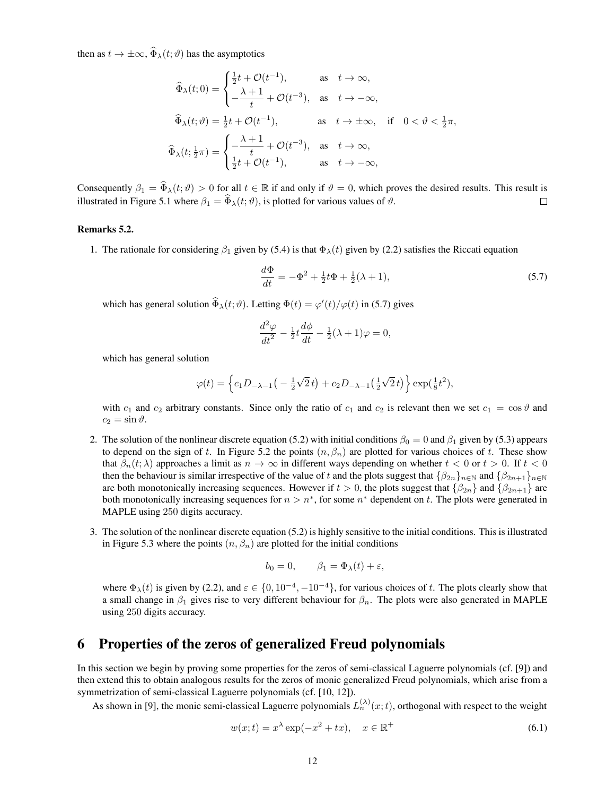then as  $t \to \pm \infty$ ,  $\widehat{\Phi}_{\lambda}(t; \vartheta)$  has the asymptotics

$$
\widehat{\Phi}_{\lambda}(t;0) = \begin{cases}\n\frac{1}{2}t + \mathcal{O}(t^{-1}), & \text{as } t \to \infty, \\
-\frac{\lambda + 1}{t} + \mathcal{O}(t^{-3}), & \text{as } t \to -\infty,\n\end{cases}
$$
\n
$$
\widehat{\Phi}_{\lambda}(t;\vartheta) = \frac{1}{2}t + \mathcal{O}(t^{-1}), \qquad \text{as } t \to \pm \infty, \text{ if } 0 < \vartheta < \frac{1}{2}\pi,
$$
\n
$$
\widehat{\Phi}_{\lambda}(t; \frac{1}{2}\pi) = \begin{cases}\n-\frac{\lambda + 1}{t} + \mathcal{O}(t^{-3}), & \text{as } t \to \infty, \\
\frac{1}{2}t + \mathcal{O}(t^{-1}), & \text{as } t \to -\infty,\n\end{cases}
$$

Consequently  $\beta_1 = \widehat{\Phi}_{\lambda}(t; \vartheta) > 0$  for all  $t \in \mathbb{R}$  if and only if  $\vartheta = 0$ , which proves the desired results. This result is illustrated in Figure 5.1 where  $\beta_1 = \widehat{\Phi}_{\lambda}(t; \vartheta)$ , is plotted for various values of illustrated in Figure 5.1 where  $\beta_1 = \widehat{\Phi}_{\lambda}(t; \vartheta)$ , is plotted for various values of  $\vartheta$ .

#### Remarks 5.2.

1. The rationale for considering  $\beta_1$  given by (5.4) is that  $\Phi_{\lambda}(t)$  given by (2.2) satisfies the Riccati equation

$$
\frac{d\Phi}{dt} = -\Phi^2 + \frac{1}{2}t\Phi + \frac{1}{2}(\lambda + 1),\tag{5.7}
$$

which has general solution  $\widehat{\Phi}_{\lambda}(t; \vartheta)$ . Letting  $\Phi(t) = \varphi'(t)/\varphi(t)$  in (5.7) gives

$$
\frac{d^2\varphi}{dt^2} - \frac{1}{2}t\frac{d\phi}{dt} - \frac{1}{2}(\lambda + 1)\varphi = 0,
$$

which has general solution

$$
\varphi(t) = \left\{c_1 D_{-\lambda-1}\left(-\frac{1}{2}\sqrt{2}t\right) + c_2 D_{-\lambda-1}\left(\frac{1}{2}\sqrt{2}t\right)\right\} \exp\left(\frac{1}{8}t^2\right),\,
$$

with  $c_1$  and  $c_2$  arbitrary constants. Since only the ratio of  $c_1$  and  $c_2$  is relevant then we set  $c_1 = \cos \vartheta$  and  $c_2 = \sin \vartheta$ .

- 2. The solution of the nonlinear discrete equation (5.2) with initial conditions  $\beta_0 = 0$  and  $\beta_1$  given by (5.3) appears to depend on the sign of t. In Figure 5.2 the points  $(n, \beta_n)$  are plotted for various choices of t. These show that  $\beta_n(t; \lambda)$  approaches a limit as  $n \to \infty$  in different ways depending on whether  $t < 0$  or  $t > 0$ . If  $t < 0$ then the behaviour is similar irrespective of the value of t and the plots suggest that  $\{\beta_{2n}\}_{n\in\mathbb{N}}$  and  $\{\beta_{2n+1}\}_{n\in\mathbb{N}}$ are both monotonically increasing sequences. However if  $t > 0$ , the plots suggest that  $\{\beta_{2n}\}\$  and  $\{\beta_{2n+1}\}\$  are both monotonically increasing sequences for  $n > n^*$ , for some  $n^*$  dependent on t. The plots were generated in MAPLE using 250 digits accuracy.
- 3. The solution of the nonlinear discrete equation (5.2) is highly sensitive to the initial conditions. This is illustrated in Figure 5.3 where the points  $(n, \beta_n)$  are plotted for the initial conditions

$$
b_0 = 0, \qquad \beta_1 = \Phi_\lambda(t) + \varepsilon,
$$

where  $\Phi_{\lambda}(t)$  is given by (2.2), and  $\varepsilon \in \{0, 10^{-4}, -10^{-4}\}$ , for various choices of t. The plots clearly show that a small change in  $\beta_1$  gives rise to very different behaviour for  $\beta_n$ . The plots were also generated in MAPLE using 250 digits accuracy.

## 6 Properties of the zeros of generalized Freud polynomials

In this section we begin by proving some properties for the zeros of semi-classical Laguerre polynomials (cf. [9]) and then extend this to obtain analogous results for the zeros of monic generalized Freud polynomials, which arise from a symmetrization of semi-classical Laguerre polynomials (cf. [10, 12]).

As shown in [9], the monic semi-classical Laguerre polynomials  $L_n^{(\lambda)}(x;t)$ , orthogonal with respect to the weight

$$
w(x;t) = x^{\lambda} \exp(-x^2 + tx), \quad x \in \mathbb{R}^+ \tag{6.1}
$$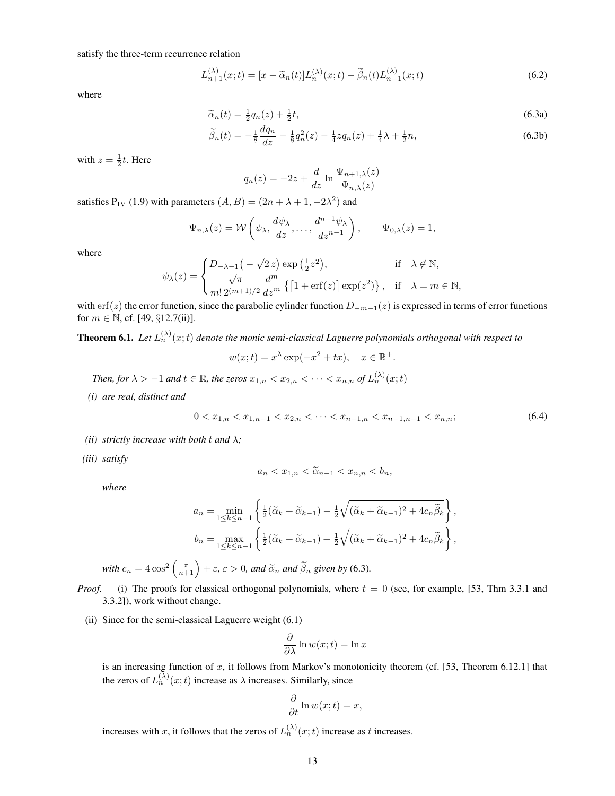$$
L_{n+1}^{(\lambda)}(x;t) = [x - \widetilde{\alpha}_n(t)]L_n^{(\lambda)}(x;t) - \widetilde{\beta}_n(t)L_{n-1}^{(\lambda)}(x;t)
$$
\n(6.2)

where

$$
\widetilde{\alpha}_n(t) = \frac{1}{2}q_n(z) + \frac{1}{2}t,\tag{6.3a}
$$

$$
\widetilde{\beta}_n(t) = -\frac{1}{8} \frac{dq_n}{dz} - \frac{1}{8} q_n^2(z) - \frac{1}{4} z q_n(z) + \frac{1}{4} \lambda + \frac{1}{2} n,\tag{6.3b}
$$

with  $z = \frac{1}{2}t$ . Here

$$
q_n(z) = -2z + \frac{d}{dz} \ln \frac{\Psi_{n+1,\lambda}(z)}{\Psi_{n,\lambda}(z)}
$$

satisfies  $P_{IV}$  (1.9) with parameters  $(A, B) = (2n + \lambda + 1, -2\lambda^2)$  and

$$
\Psi_{n,\lambda}(z) = \mathcal{W}\left(\psi_{\lambda}, \frac{d\psi_{\lambda}}{dz}, \dots, \frac{d^{n-1}\psi_{\lambda}}{dz^{n-1}}\right), \qquad \Psi_{0,\lambda}(z) = 1,
$$

where

$$
\psi_{\lambda}(z) = \begin{cases} D_{-\lambda-1}\big(-\sqrt{2}\,z\big)\exp\big(\tfrac{1}{2}z^2\big), & \text{if} \quad \lambda \not\in \mathbb{N}, \\ \frac{\sqrt{\pi}}{m!\,2^{(m+1)/2}}\frac{d^m}{dz^m}\left\{\left[1+\text{erf}(z)\right]\exp(z^2)\right\}, & \text{if} \quad \lambda = m \in \mathbb{N}, \end{cases}
$$

with erf(z) the error function, since the parabolic cylinder function  $D_{-m-1}(z)$  is expressed in terms of error functions for  $m \in \mathbb{N}$ , cf. [49,  $\S 12.7$ (ii)].

**Theorem 6.1.** Let  $L_n^{(\lambda)}(x;t)$  denote the monic semi-classical Laguerre polynomials orthogonal with respect to

$$
w(x;t) = x^{\lambda} \exp(-x^2 + tx), \quad x \in \mathbb{R}^+.
$$

*Then, for*  $\lambda > -1$  *and*  $t \in \mathbb{R}$ *, the zeros*  $x_{1,n} < x_{2,n} < \cdots < x_{n,n}$  of  $L_n^{(\lambda)}(x;t)$ 

*(i) are real, distinct and*

$$
0 < x_{1,n} < x_{1,n-1} < x_{2,n} < \dots < x_{n-1,n} < x_{n-1,n-1} < x_{n,n};\tag{6.4}
$$

- *(ii)* strictly increase with both t and  $\lambda$ ;
- *(iii) satisfy*

$$
a_n < x_{1,n} < \widetilde{\alpha}_{n-1} < x_{n,n} < b_n,
$$

*where*

$$
a_n = \min_{1 \le k \le n-1} \left\{ \frac{1}{2} (\widetilde{\alpha}_k + \widetilde{\alpha}_{k-1}) - \frac{1}{2} \sqrt{(\widetilde{\alpha}_k + \widetilde{\alpha}_{k-1})^2 + 4c_n \widetilde{\beta}_k} \right\},
$$
  

$$
b_n = \max_{1 \le k \le n-1} \left\{ \frac{1}{2} (\widetilde{\alpha}_k + \widetilde{\alpha}_{k-1}) + \frac{1}{2} \sqrt{(\widetilde{\alpha}_k + \widetilde{\alpha}_{k-1})^2 + 4c_n \widetilde{\beta}_k} \right\},
$$
  
with  $c_n = 4 \cos^2 \left( \frac{\pi}{n+1} \right) + \varepsilon$ ,  $\varepsilon > 0$ , and  $\widetilde{\alpha}_n$  and  $\widetilde{\beta}_n$  given by (6.3).

*Proof.* (i) The proofs for classical orthogonal polynomials, where  $t = 0$  (see, for example, [53, Thm 3.3.1 and 3.3.2]), work without change.

(ii) Since for the semi-classical Laguerre weight (6.1)

$$
\frac{\partial}{\partial \lambda} \ln w(x;t) = \ln x
$$

is an increasing function of  $x$ , it follows from Markov's monotonicity theorem (cf. [53, Theorem 6.12.1] that the zeros of  $L_n^{(\lambda)}(x;t)$  increase as  $\lambda$  increases. Similarly, since

$$
\frac{\partial}{\partial t} \ln w(x;t) = x,
$$

increases with x, it follows that the zeros of  $L_n^{(\lambda)}(x;t)$  increase as t increases.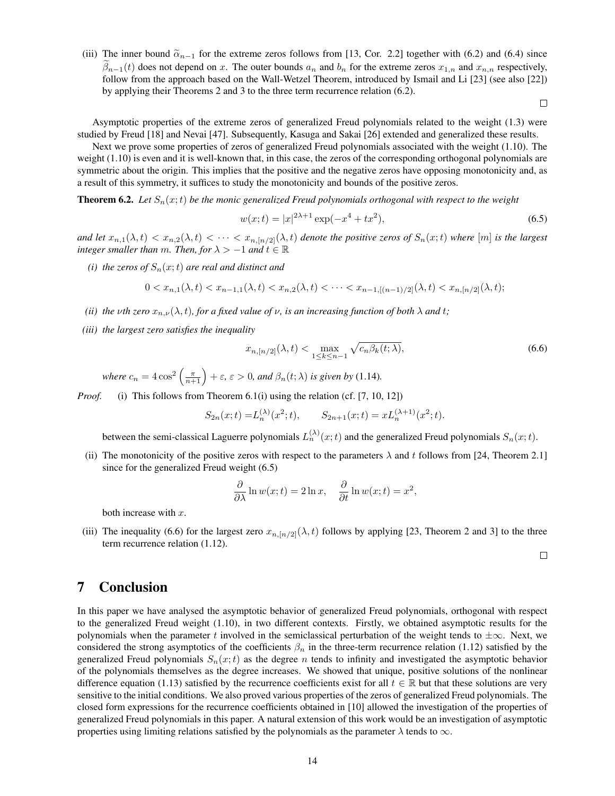(iii) The inner bound  $\tilde{\alpha}_{n-1}$  for the extreme zeros follows from [13, Cor. 2.2] together with (6.2) and (6.4) since  $\beta_{n-1}(t)$  does not depend on x. The outer bounds  $a_n$  and  $b_n$  for the extreme zeros  $x_{1,n}$  and  $x_{n,n}$  respectively, follow from the approach based on the Wall-Wetzel Theorem, introduced by Ismail and Li [23] (see also [22]) by applying their Theorems 2 and 3 to the three term recurrence relation (6.2).

 $\Box$ 

Asymptotic properties of the extreme zeros of generalized Freud polynomials related to the weight (1.3) were studied by Freud [18] and Nevai [47]. Subsequently, Kasuga and Sakai [26] extended and generalized these results.

Next we prove some properties of zeros of generalized Freud polynomials associated with the weight (1.10). The weight (1.10) is even and it is well-known that, in this case, the zeros of the corresponding orthogonal polynomials are symmetric about the origin. This implies that the positive and the negative zeros have opposing monotonicity and, as a result of this symmetry, it suffices to study the monotonicity and bounds of the positive zeros.

**Theorem 6.2.** *Let*  $S_n(x;t)$  *be the monic generalized Freud polynomials orthogonal with respect to the weight* 

$$
w(x;t) = |x|^{2\lambda + 1} \exp(-x^4 + tx^2),\tag{6.5}
$$

and let  $x_{n,1}(\lambda, t) < x_{n,2}(\lambda, t) < \cdots < x_{n,[n/2]}(\lambda, t)$  denote the positive zeros of  $S_n(x; t)$  where [m] is the largest *integer smaller than* m. Then, for  $\lambda > -1$  and  $t \in \mathbb{R}$ 

*(i) the zeros of*  $S_n(x;t)$  *are real and distinct and* 

$$
0 < x_{n,1}(\lambda, t) < x_{n-1,1}(\lambda, t) < x_{n,2}(\lambda, t) < \cdots < x_{n-1,[(n-1)/2]}(\lambda, t) < x_{n,[n/2]}(\lambda, t);
$$

- *(ii) the vth zero*  $x_{n,\nu}(\lambda, t)$ *, for a fixed value of*  $\nu$ *, is an increasing function of both*  $\lambda$  *and*  $t$ *;*
- *(iii) the largest zero satisfies the inequality*

$$
x_{n,[n/2]}(\lambda,t) < \max_{1 \le k \le n-1} \sqrt{c_n \beta_k(t;\lambda)},\tag{6.6}
$$

where  $c_n = 4 \cos^2 \left( \frac{\pi}{n+1} \right) + \varepsilon$ ,  $\varepsilon > 0$ , and  $\beta_n(t; \lambda)$  is given by (1.14).

*Proof.* (i) This follows from Theorem 6.1(i) using the relation (cf. [7, 10, 12])

$$
S_{2n}(x;t) = L_n^{(\lambda)}(x^2;t), \qquad S_{2n+1}(x;t) = x L_n^{(\lambda+1)}(x^2;t).
$$

between the semi-classical Laguerre polynomials  $L_n^{(\lambda)}(x;t)$  and the generalized Freud polynomials  $S_n(x;t)$ .

(ii) The monotonicity of the positive zeros with respect to the parameters  $\lambda$  and t follows from [24, Theorem 2.1] since for the generalized Freud weight (6.5)

$$
\frac{\partial}{\partial \lambda} \ln w(x;t) = 2 \ln x, \quad \frac{\partial}{\partial t} \ln w(x;t) = x^2,
$$

both increase with  $x$ .

(iii) The inequality (6.6) for the largest zero  $x_{n,[n/2]}(\lambda, t)$  follows by applying [23, Theorem 2 and 3] to the three term recurrence relation (1.12).

 $\Box$ 

#### 7 Conclusion

In this paper we have analysed the asymptotic behavior of generalized Freud polynomials, orthogonal with respect to the generalized Freud weight (1.10), in two different contexts. Firstly, we obtained asymptotic results for the polynomials when the parameter t involved in the semiclassical perturbation of the weight tends to  $\pm\infty$ . Next, we considered the strong asymptotics of the coefficients  $\beta_n$  in the three-term recurrence relation (1.12) satisfied by the generalized Freud polynomials  $S_n(x;t)$  as the degree n tends to infinity and investigated the asymptotic behavior of the polynomials themselves as the degree increases. We showed that unique, positive solutions of the nonlinear difference equation (1.13) satisfied by the recurrence coefficients exist for all  $t \in \mathbb{R}$  but that these solutions are very sensitive to the initial conditions. We also proved various properties of the zeros of generalized Freud polynomials. The closed form expressions for the recurrence coefficients obtained in [10] allowed the investigation of the properties of generalized Freud polynomials in this paper. A natural extension of this work would be an investigation of asymptotic properties using limiting relations satisfied by the polynomials as the parameter  $\lambda$  tends to  $\infty$ .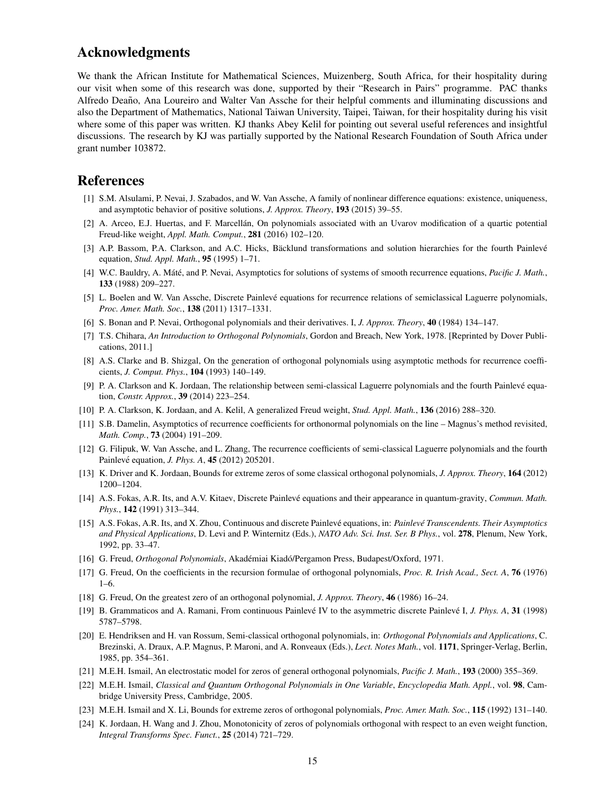## Acknowledgments

We thank the African Institute for Mathematical Sciences, Muizenberg, South Africa, for their hospitality during our visit when some of this research was done, supported by their "Research in Pairs" programme. PAC thanks Alfredo Deaño, Ana Loureiro and Walter Van Assche for their helpful comments and illuminating discussions and also the Department of Mathematics, National Taiwan University, Taipei, Taiwan, for their hospitality during his visit where some of this paper was written. KJ thanks Abey Kelil for pointing out several useful references and insightful discussions. The research by KJ was partially supported by the National Research Foundation of South Africa under grant number 103872.

#### References

- [1] S.M. Alsulami, P. Nevai, J. Szabados, and W. Van Assche, A family of nonlinear difference equations: existence, uniqueness, and asymptotic behavior of positive solutions, *J. Approx. Theory*, 193 (2015) 39–55.
- [2] A. Arceo, E.J. Huertas, and F. Marcellán, On polynomials associated with an Uvarov modification of a quartic potential Freud-like weight, *Appl. Math. Comput.*, 281 (2016) 102–120.
- [3] A.P. Bassom, P.A. Clarkson, and A.C. Hicks, Bäcklund transformations and solution hierarchies for the fourth Painlevé equation, *Stud. Appl. Math.*, 95 (1995) 1–71.
- [4] W.C. Bauldry, A. Máté, and P. Nevai, Asymptotics for solutions of systems of smooth recurrence equations, Pacific J. Math., 133 (1988) 209–227.
- [5] L. Boelen and W. Van Assche, Discrete Painlevé equations for recurrence relations of semiclassical Laguerre polynomials, *Proc. Amer. Math. Soc.*, 138 (2011) 1317–1331.
- [6] S. Bonan and P. Nevai, Orthogonal polynomials and their derivatives. I, *J. Approx. Theory*, 40 (1984) 134–147.
- [7] T.S. Chihara, *An Introduction to Orthogonal Polynomials*, Gordon and Breach, New York, 1978. [Reprinted by Dover Publications, 2011.]
- [8] A.S. Clarke and B. Shizgal, On the generation of orthogonal polynomials using asymptotic methods for recurrence coefficients, *J. Comput. Phys.*, 104 (1993) 140–149.
- [9] P. A. Clarkson and K. Jordaan, The relationship between semi-classical Laguerre polynomials and the fourth Painlevé equation, *Constr. Approx.*, 39 (2014) 223–254.
- [10] P. A. Clarkson, K. Jordaan, and A. Kelil, A generalized Freud weight, *Stud. Appl. Math.*, 136 (2016) 288–320.
- [11] S.B. Damelin, Asymptotics of recurrence coefficients for orthonormal polynomials on the line Magnus's method revisited, *Math. Comp.*, 73 (2004) 191–209.
- [12] G. Filipuk, W. Van Assche, and L. Zhang, The recurrence coefficients of semi-classical Laguerre polynomials and the fourth Painlevé equation, *J. Phys. A*, **45** (2012) 205201.
- [13] K. Driver and K. Jordaan, Bounds for extreme zeros of some classical orthogonal polynomials, *J. Approx. Theory*, 164 (2012) 1200–1204.
- [14] A.S. Fokas, A.R. Its, and A.V. Kitaev, Discrete Painlevé equations and their appearance in quantum-gravity, *Commun. Math. Phys.*, 142 (1991) 313–344.
- [15] A.S. Fokas, A.R. Its, and X. Zhou, Continuous and discrete Painleve equations, in: ´ *Painleve Transcendents. Their Asymptotics ´ and Physical Applications*, D. Levi and P. Winternitz (Eds.), *NATO Adv. Sci. Inst. Ser. B Phys.*, vol. 278, Plenum, New York, 1992, pp. 33–47.
- [16] G. Freud, *Orthogonal Polynomials*, Akadémiai Kiadó/Pergamon Press, Budapest/Oxford, 1971.
- [17] G. Freud, On the coefficients in the recursion formulae of orthogonal polynomials, *Proc. R. Irish Acad., Sect. A*, 76 (1976) 1–6.
- [18] G. Freud, On the greatest zero of an orthogonal polynomial, *J. Approx. Theory*, 46 (1986) 16–24.
- [19] B. Grammaticos and A. Ramani, From continuous Painlevé IV to the asymmetric discrete Painlevé I, *J. Phys. A*, 31 (1998) 5787–5798.
- [20] E. Hendriksen and H. van Rossum, Semi-classical orthogonal polynomials, in: *Orthogonal Polynomials and Applications*, C. Brezinski, A. Draux, A.P. Magnus, P. Maroni, and A. Ronveaux (Eds.), *Lect. Notes Math.*, vol. 1171, Springer-Verlag, Berlin, 1985, pp. 354–361.
- [21] M.E.H. Ismail, An electrostatic model for zeros of general orthogonal polynomials, *Pacific J. Math.*, 193 (2000) 355–369.
- [22] M.E.H. Ismail, *Classical and Quantum Orthogonal Polynomials in One Variable*, *Encyclopedia Math. Appl.*, vol. 98, Cambridge University Press, Cambridge, 2005.
- [23] M.E.H. Ismail and X. Li, Bounds for extreme zeros of orthogonal polynomials, *Proc. Amer. Math. Soc.*, 115 (1992) 131–140.
- [24] K. Jordaan, H. Wang and J. Zhou, Monotonicity of zeros of polynomials orthogonal with respect to an even weight function, *Integral Transforms Spec. Funct.*, 25 (2014) 721–729.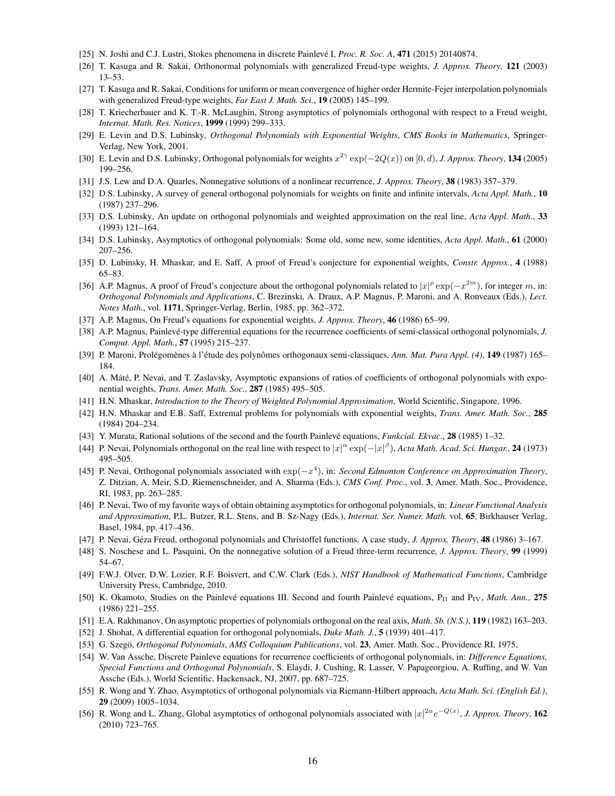- [25] N. Joshi and C.J. Lustri, Stokes phenomena in discrete Painlevé I, Proc. R. Soc. A, 471 (2015) 20140874.
- [26] T. Kasuga and R. Sakai, Orthonormal polynomials with generalized Freud-type weights, *J. Approx. Theory*, 121 (2003) 13–53.
- [27] T. Kasuga and R. Sakai, Conditions for uniform or mean convergence of higher order Hermite-Fejer interpolation polynomials with generalized Freud-type weights, *Far East J. Math. Sci.*, 19 (2005) 145–199.
- [28] T. Kriecherbauer and K. T.-R. McLaughin, Strong asymptotics of polynomials orthogonal with respect to a Freud weight, *Internat. Math. Res. Notices*, 1999 (1999) 299–333.
- [29] E. Levin and D.S. Lubinsky, *Orthogonal Polynomials with Exponential Weights*, *CMS Books in Mathematics*, Springer-Verlag, New York, 2001.
- [30] E. Levin and D.S. Lubinsky, Orthogonal polynomials for weights  $x^{2\gamma} \exp(-2Q(x))$  on  $[0, d)$ , *J. Approx. Theory*, **134** (2005) 199–256.
- [31] J.S. Lew and D.A. Quarles, Nonnegative solutions of a nonlinear recurrence, *J. Approx. Theory*, 38 (1983) 357–379.
- [32] D.S. Lubinsky, A survey of general orthogonal polynomials for weights on finite and infinite intervals, *Acta Appl. Math.*, 10 (1987) 237–296.
- [33] D.S. Lubinsky, An update on orthogonal polynomials and weighted approximation on the real line, *Acta Appl. Math.*, 33 (1993) 121–164.
- [34] D.S. Lubinsky, Asymptotics of orthogonal polynomials: Some old, some new, some identities, *Acta Appl. Math.*, 61 (2000) 207–256.
- [35] D. Lubinsky, H. Mhaskar, and E. Saff, A proof of Freud's conjecture for exponential weights, *Constr. Approx.*, 4 (1988) 65–83.
- [36] A.P. Magnus, A proof of Freud's conjecture about the orthogonal polynomials related to  $|x|^{\rho} \exp(-x^{2m})$ , for integer m, in: *Orthogonal Polynomials and Applications*, C. Brezinski, A. Draux, A.P. Magnus, P. Maroni, and A. Ronveaux (Eds.), *Lect. Notes Math.*, vol. 1171, Springer-Verlag, Berlin, 1985, pp. 362–372.
- [37] A.P. Magnus, On Freud's equations for exponential weights, *J. Approx. Theory*, 46 (1986) 65–99.
- [38] A.P. Magnus, Painlevé-type differential equations for the recurrence coefficients of semi-classical orthogonal polynomials, *J. Comput. Appl. Math.*, 57 (1995) 215–237.
- [39] P. Maroni, Prolégomènes à l'étude des polynômes orthogonaux semi-classiques, *Ann. Mat. Pura Appl.* (4), 149 (1987) 165– 184.
- [40] A. Máté, P. Nevai, and T. Zaslavsky, Asymptotic expansions of ratios of coefficients of orthogonal polynomials with exponential weights, *Trans. Amer. Math. Soc.*, 287 (1985) 495–505.
- [41] H.N. Mhaskar, *Introduction to the Theory of Weighted Polynomial Approximation*, World Scientific, Singapore, 1996.
- [42] H.N. Mhaskar and E.B. Saff, Extremal problems for polynomials with exponential weights, *Trans. Amer. Math. Soc.*, 285 (1984) 204–234.
- [43] Y. Murata, Rational solutions of the second and the fourth Painlevé equations, *Funkcial. Ekvac.*, **28** (1985) 1–32.
- [44] P. Nevai, Polynomials orthogonal on the real line with respect to  $|x|^\alpha \exp(-|x|^\beta)$ , *Acta Math. Acad. Sci. Hungar.*, 24 (1973) 495–505.
- [45] P. Nevai, Orthogonal polynomials associated with exp(−x 4 ), in: *Second Edmonton Conference on Approximation Theory*, Z. Ditzian, A. Meir, S.D. Riemenschneider, and A. Sharma (Eds.), *CMS Conf. Proc.*, vol. 3, Amer. Math. Soc., Providence, RI, 1983, pp. 263–285.
- [46] P. Nevai, Two of my favorite ways of obtain obtaining asymptotics for orthogonal polynomials, in: *Linear Functional Analysis and Approximation*, P.L. Butzer, R.L. Stens, and B. Sz-Nagy (Eds.), *Internat. Ser. Numer. Math.* vol. 65, Birkhauser Verlag, Basel, 1984, pp. 417–436.
- [47] P. Nevai, Géza Freud, orthogonal polynomials and Christoffel functions. A case study, *J. Approx. Theory*, **48** (1986) 3–167.
- [48] S. Noschese and L. Pasquini, On the nonnegative solution of a Freud three-term recurrence, *J. Approx. Theory*, 99 (1999) 54–67.
- [49] F.W.J. Olver, D.W. Lozier, R.F. Boisvert, and C.W. Clark (Eds.), *NIST Handbook of Mathematical Functions*, Cambridge University Press, Cambridge, 2010.
- [50] K. Okamoto, Studies on the Painlevé equations III. Second and fourth Painlevé equations, P<sub>II</sub> and P<sub>IV</sub>, *Math. Ann.*, 275 (1986) 221–255.
- [51] E.A. Rakhmanov, On asymptotic properties of polynomials orthogonal on the real axis, *Math. Sb. (N.S.)*, 119 (1982) 163–203.
- [52] J. Shohat, A differential equation for orthogonal polynomials, *Duke Math. J.*, 5 (1939) 401–417.
- [53] G. Szego,¨ *Orthogonal Polynomials*, *AMS Colloquium Publications*, vol. 23, Amer. Math. Soc., Providence RI, 1975.
- [54] W. Van Assche, Discrete Painleve equations for recurrence coefficients of orthogonal polynomials, in: *Difference Equations, Special Functions and Orthogonal Polynomials*, S. Elaydi, J. Cushing, R. Lasser, V. Papageorgiou, A. Ruffing, and W. Van Assche (Eds.), World Scientific, Hackensack, NJ, 2007, pp. 687–725.
- [55] R. Wong and Y. Zhao, Asymptotics of orthogonal polynomials via Riemann-Hilbert approach, *Acta Math. Sci. (English Ed.)*, 29 (2009) 1005–1034.
- [56] R. Wong and L. Zhang, Global asymptotics of orthogonal polynomials associated with  $|x|^{2\alpha}e^{-Q(x)}$ , J. Approx. Theory, 162 (2010) 723–765.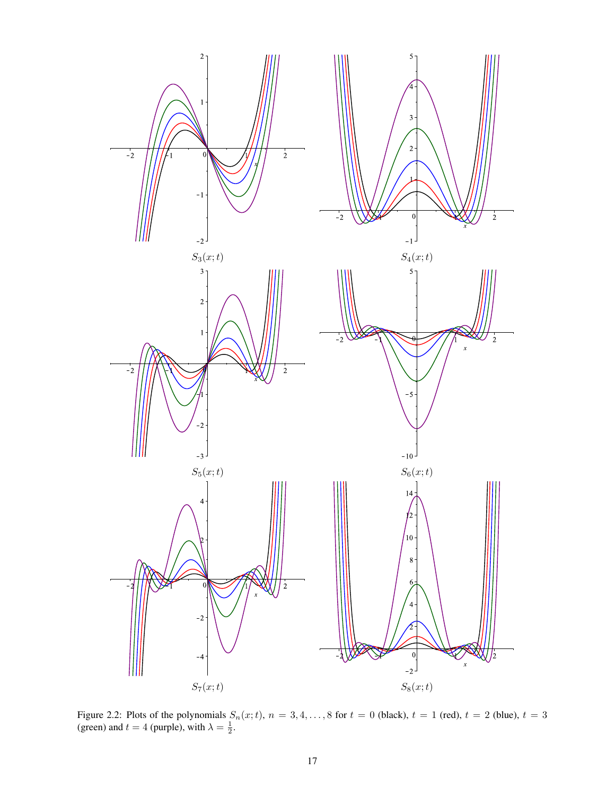

Figure 2.2: Plots of the polynomials  $S_n(x;t)$ ,  $n = 3, 4, ..., 8$  for  $t = 0$  (black),  $t = 1$  (red),  $t = 2$  (blue),  $t = 3$ (green) and  $t = 4$  (purple), with  $\lambda = \frac{1}{2}$ .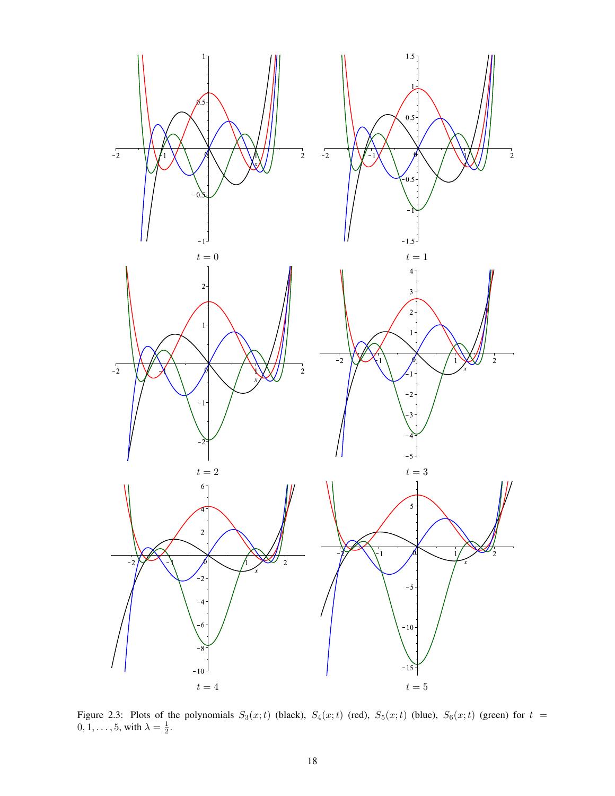

Figure 2.3: Plots of the polynomials  $S_3(x;t)$  (black),  $S_4(x;t)$  (red),  $S_5(x;t)$  (blue),  $S_6(x;t)$  (green) for  $t =$  $0, 1, \ldots, 5$ , with  $\lambda = \frac{1}{2}$ .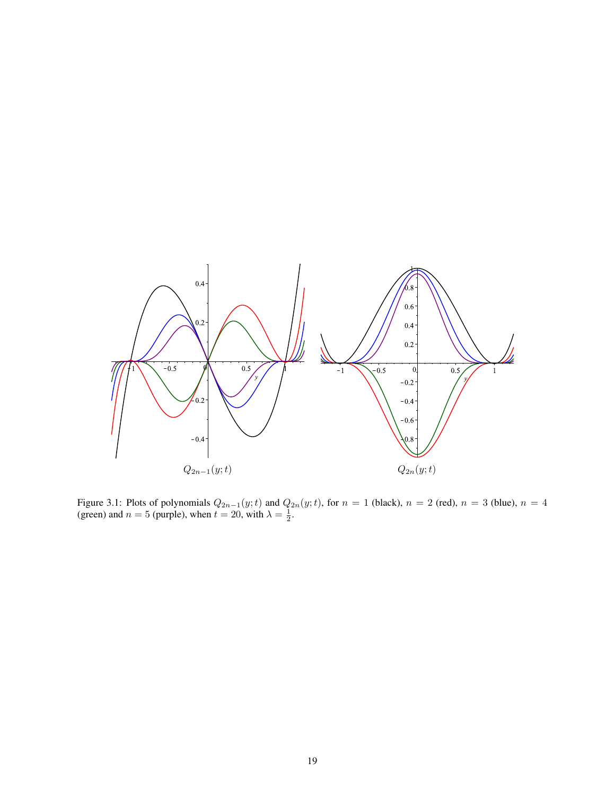

Figure 3.1: Plots of polynomials  $Q_{2n-1}(y;t)$  and  $Q_{2n}(y;t)$ , for  $n = 1$  (black),  $n = 2$  (red),  $n = 3$  (blue),  $n = 4$ (green) and  $n = 5$  (purple), when  $t = 20$ , with  $\lambda = \frac{1}{2}$ .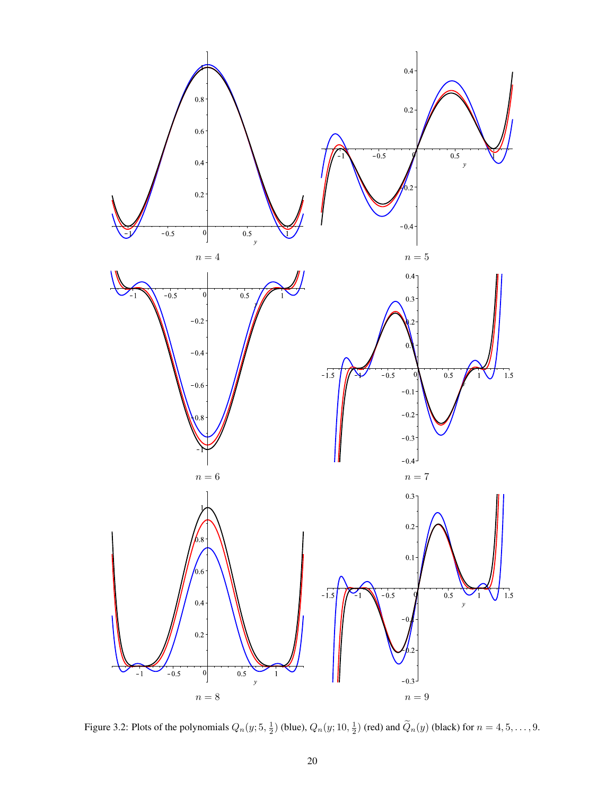

Figure 3.2: Plots of the polynomials  $Q_n(y; 5, \frac{1}{2})$  (blue),  $Q_n(y; 10, \frac{1}{2})$  (red) and  $\widetilde{Q}_n(y)$  (black) for  $n = 4, 5, ..., 9$ .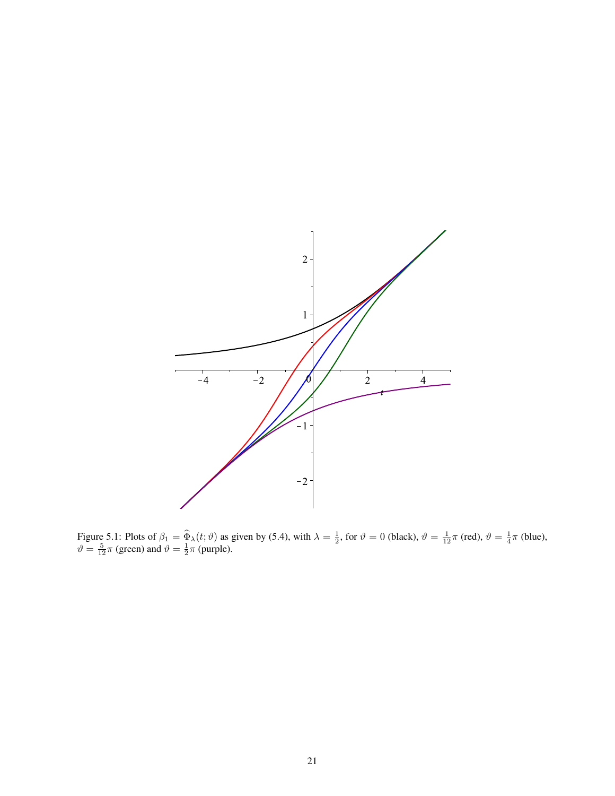

Figure 5.1: Plots of  $\beta_1 = \widehat{\Phi}_\lambda(t; \vartheta)$  as given by (5.4), with  $\lambda = \frac{1}{2}$ , for  $\vartheta = 0$  (black),  $\vartheta = \frac{1}{12}\pi$  (red),  $\vartheta = \frac{1}{4}\pi$  (blue),  $\vartheta = \frac{5}{12}\pi$  (green) and  $\vartheta = \frac{1}{2}\pi$  (purple).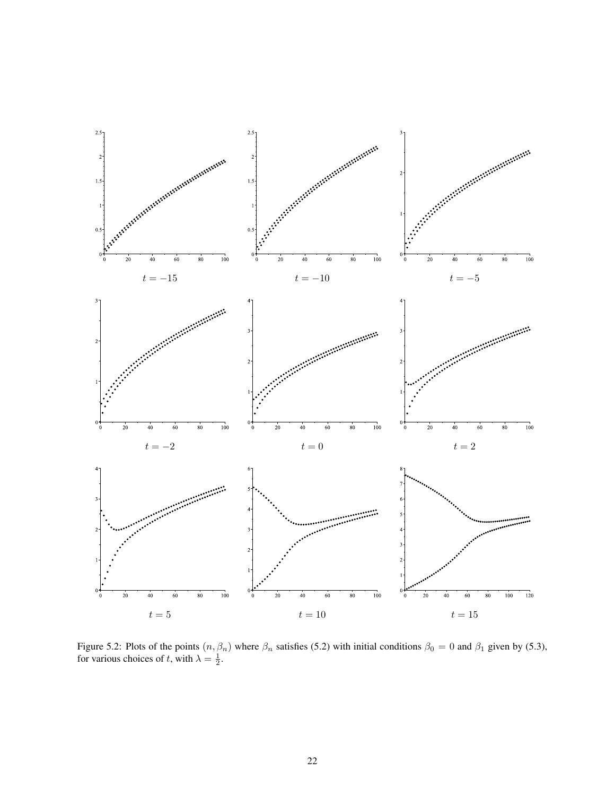

Figure 5.2: Plots of the points  $(n, \beta_n)$  where  $\beta_n$  satisfies (5.2) with initial conditions  $\beta_0 = 0$  and  $\beta_1$  given by (5.3), for various choices of t, with  $\lambda = \frac{1}{2}$ .